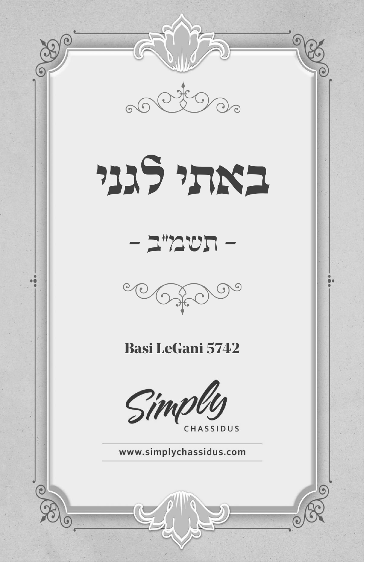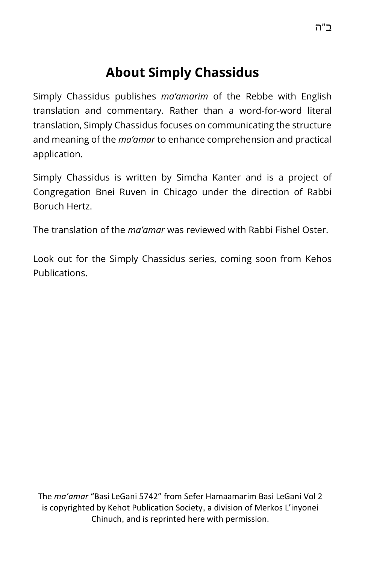# **About Simply Chassidus**

Simply Chassidus publishes *ma'amarim* of the Rebbe with English translation and commentary. Rather than a word-for-word literal translation, Simply Chassidus focuses on communicating the structure and meaning of the *ma'amar* to enhance comprehension and practical application.

Simply Chassidus is written by Simcha Kanter and is a project of Congregation Bnei Ruven in Chicago under the direction of Rabbi Boruch Hertz.

The translation of the *ma'amar* was reviewed with Rabbi Fishel Oster.

Look out for the Simply Chassidus series, coming soon from Kehos Publications.

The *ma'amar* "Basi LeGani 5742" from Sefer Hamaamarim Basi LeGani Vol 2 is copyrighted by Kehot Publication Society, a division of Merkos L'inyonei Chinuch, and is reprinted here with permission.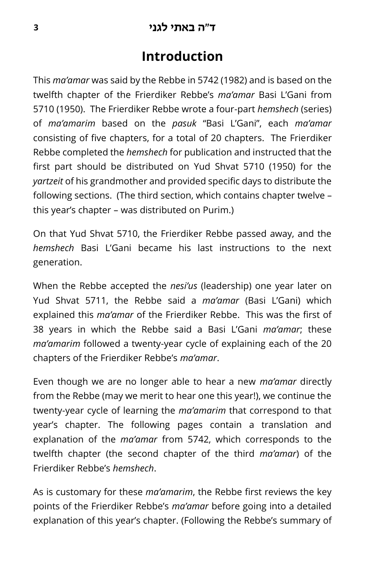#### **ד"ה באתי לגני <sup>3</sup>**

#### **Introduction**

This *ma'amar* was said by the Rebbe in 5742 (1982) and is based on the twelfth chapter of the Frierdiker Rebbe's *ma'amar* Basi L'Gani from 5710 (1950). The Frierdiker Rebbe wrote a four-part *hemshech* (series) of *ma'amarim* based on the *pasuk* "Basi L'Gani", each *ma'amar*  consisting of five chapters, for a total of 20 chapters. The Frierdiker Rebbe completed the *hemshech* for publication and instructed that the first part should be distributed on Yud Shvat 5710 (1950) for the *yartzeit* of his grandmother and provided specific days to distribute the following sections. (The third section, which contains chapter twelve – this year's chapter – was distributed on Purim.)

On that Yud Shvat 5710, the Frierdiker Rebbe passed away, and the *hemshech* Basi L'Gani became his last instructions to the next generation.

When the Rebbe accepted the *nesi'us* (leadership) one year later on Yud Shvat 5711, the Rebbe said a *ma'amar* (Basi L'Gani) which explained this *ma'amar* of the Frierdiker Rebbe. This was the first of 38 years in which the Rebbe said a Basi L'Gani *ma'amar*; these *ma'amarim* followed a twenty-year cycle of explaining each of the 20 chapters of the Frierdiker Rebbe's *ma'amar*.

Even though we are no longer able to hear a new *ma'amar* directly from the Rebbe (may we merit to hear one this year!), we continue the twenty-year cycle of learning the *ma'amarim* that correspond to that year's chapter. The following pages contain a translation and explanation of the *ma'amar* from 5742, which corresponds to the twelfth chapter (the second chapter of the third *ma'amar*) of the Frierdiker Rebbe's *hemshech*.

As is customary for these *ma'amarim*, the Rebbe first reviews the key points of the Frierdiker Rebbe's *ma'amar* before going into a detailed explanation of this year's chapter. (Following the Rebbe's summary of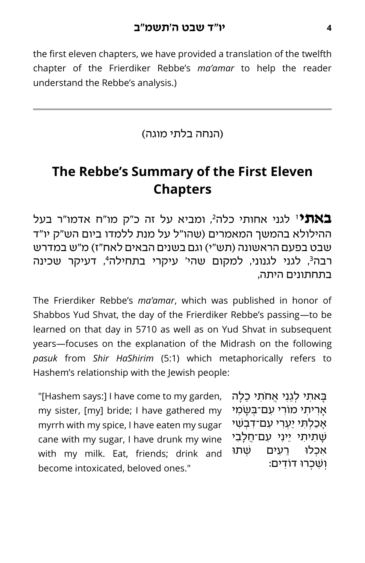the first eleven chapters, we have provided a translation of the twelfth chapter of the Frierdiker Rebbe's *ma'amar* to help the reader understand the Rebbe's analysis.)

)הנחה בלתי מוגה(

# **The Rebbe's Summary of the First Eleven Chapters**

באתי לגני אחותי כלה<sup>2</sup>, ומביא על זה כ"ק מו"ח אדמו"ר בעל ההילולא בהמשך המאמרים )שהו"ל על מנת ללמדו ביום הש"ק יו"ד שבט בפעם הראשונה (תש"י) וגם בשנים הבאים לאח"ז) מ"ש במדרש רבה<sup>3</sup>, לגני לגנוני, למקום שהי' עיקרי בתחילה<sup>4</sup>, דעיקר שכינה בתחתונים היתה,

The Frierdiker Rebbe's *ma'amar*, which was published in honor of Shabbos Yud Shvat, the day of the Frierdiker Rebbe's passing—to be learned on that day in 5710 as well as on Yud Shvat in subsequent years—focuses on the explanation of the Midrash on the following *pasuk* from *Shir HaShirim* (5:1) which metaphorically refers to Hashem's relationship with the Jewish people:

"[Hashem says:] I have come to my garden, my sister, [my] bride; I have gathered my myrrh with my spice, I have eaten my sugar cane with my sugar, I have drunk my wine with my milk. Eat, friends; drink and become intoxicated, beloved ones."

ַבּאתי לגני אחֹתי כלה ּאָרִיתִי מוֹרִי עִם־בְּשָׂמִי אכלתי יערי עם־דבשׁי ְּיַיתי ייני עם־חלבי אכלוּ רעים שׁתוּ ושכרו דודים: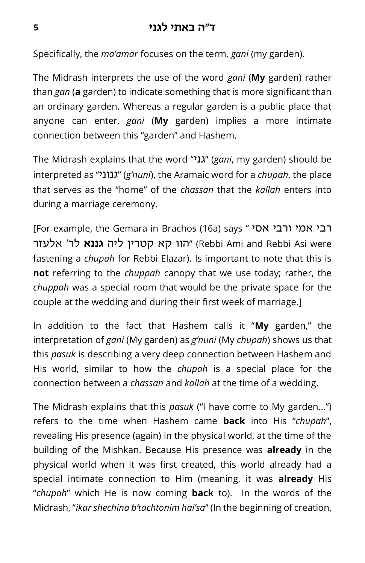Specifically, the *ma'amar* focuses on the term, *gani* (my garden).

The Midrash interprets the use of the word *gani* (**My** garden) rather than *gan* (**a** garden) to indicate something that is more significant than an ordinary garden. Whereas a regular garden is a public place that anyone can enter, *gani* (**My** garden) implies a more intimate connection between this "garden" and Hashem.

The Midrash explains that the word "י גנ) "*gani*, my garden) should be interpreted as " גנוני) "*g'nuni*), the Aramaic word for a *chupah*, the place that serves as the "home" of the *chassan* that the *kallah* enters into during a marriage ceremony.

[For example, the Gemara in Brachos (16a) says " רבי אמי ורבי were Asi Rebbi and Ami Rebbi" (הוו קא קטרין ליה **גננא** לר׳ אלעזר fastening a *chupah* for Rebbi Elazar). Is important to note that this is **not** referring to the *chuppah* canopy that we use today; rather, the *chuppah* was a special room that would be the private space for the couple at the wedding and during their first week of marriage.]

In addition to the fact that Hashem calls it "**My** garden," the interpretation of *gani* (My garden) as *g'nuni* (My *chupah*) shows us that this *pasuk* is describing a very deep connection between Hashem and His world, similar to how the *chupah* is a special place for the connection between a *chassan* and *kallah* at the time of a wedding.

The Midrash explains that this *pasuk* ("I have come to My garden…") refers to the time when Hashem came **back** into His "*chupah*", revealing His presence (again) in the physical world, at the time of the building of the Mishkan. Because His presence was **already** in the physical world when it was first created, this world already had a special intimate connection to Him (meaning, it was **already** His "*chupah*" which He is now coming **back** to). In the words of the Midrash, "*ikar shechina b'tachtonim hai'sa*" (In the beginning of creation,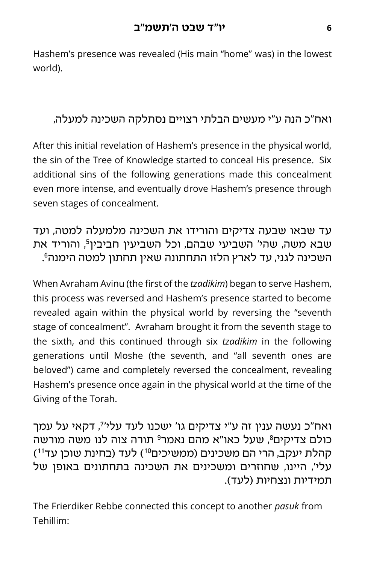Hashem's presence was revealed (His main "home" was) in the lowest world).

#### ואח"כ הנה ע"י מעשים הבלתי רצויים נסתלקה השכינה למעלה,

After this initial revelation of Hashem's presence in the physical world, the sin of the Tree of Knowledge started to conceal His presence. Six additional sins of the following generations made this concealment even more intense, and eventually drove Hashem's presence through seven stages of concealment.

#### עד שבאו שבעה צדיקים והורידו את השכינה מלמעלה למטה, ועד ,<sup>5</sup> והוריד את שבא משה, שהי' השביעי שבהם, וכל השביעין חביבין 6 השכינה לגני, עד לארץ הלזו התחתונה שאין תחתון למטה הימנה .

When Avraham Avinu (the first of the *tzadikim*) began to serve Hashem, this process was reversed and Hashem's presence started to become revealed again within the physical world by reversing the "seventh stage of concealment". Avraham brought it from the seventh stage to the sixth, and this continued through six *tzadikim* in the following generations until Moshe (the seventh, and "all seventh ones are beloved") came and completely reversed the concealment, revealing Hashem's presence once again in the physical world at the time of the Giving of the Torah.

7 ואח"כ נעשה ענין זה ע"י צדיקים גו' ישכנו לעד עלי' , דקאי על עמך כולם צדיקים 8, שעל כאו"א מהם נאמר<sup>9</sup> תורה צוה לנו משה מורשה קהלת יעקב, הרי הם משכינים (ממשיכים<sup>10</sup>) לעד (בחינת שוכן עד<sup>11</sup>) עלי', היינו, שחוזרים ומשכינים את השכינה בתחתונים באופן של תמידיות ונצחיות (לעד).

The Frierdiker Rebbe connected this concept to another *pasuk* from Tehillim: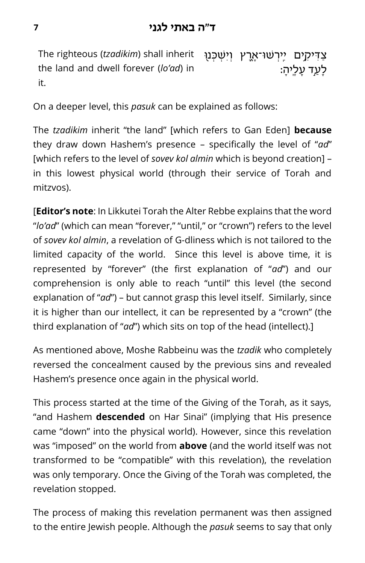The righteous (*tzadikim*) shall inherit the land and dwell forever (*lo'ad*) in it. ַצַדִּיקָים יֵיִרְשׁוּ־אָרֶץ וְיִשְׁכָּנוּ לַעַד עַלֵיהַ:

On a deeper level, this *pasuk* can be explained as follows:

The *tzadikim* inherit "the land" [which refers to Gan Eden] **because** they draw down Hashem's presence – specifically the level of "*ad*" [which refers to the level of *sovev kol almin* which is beyond creation] – in this lowest physical world (through their service of Torah and mitzvos).

[**Editor's note**: In Likkutei Torah the Alter Rebbe explains that the word "*lo'ad*" (which can mean "forever," "until," or "crown") refers to the level of *sovev kol almin*, a revelation of G-dliness which is not tailored to the limited capacity of the world. Since this level is above time, it is represented by "forever" (the first explanation of "*ad*") and our comprehension is only able to reach "until" this level (the second explanation of "*ad*") – but cannot grasp this level itself. Similarly, since it is higher than our intellect, it can be represented by a "crown" (the third explanation of "*ad*") which sits on top of the head (intellect).]

As mentioned above, Moshe Rabbeinu was the *tzadik* who completely reversed the concealment caused by the previous sins and revealed Hashem's presence once again in the physical world.

This process started at the time of the Giving of the Torah, as it says, "and Hashem **descended** on Har Sinai" (implying that His presence came "down" into the physical world). However, since this revelation was "imposed" on the world from **above** (and the world itself was not transformed to be "compatible" with this revelation), the revelation was only temporary. Once the Giving of the Torah was completed, the revelation stopped.

The process of making this revelation permanent was then assigned to the entire Jewish people. Although the *pasuk* seems to say that only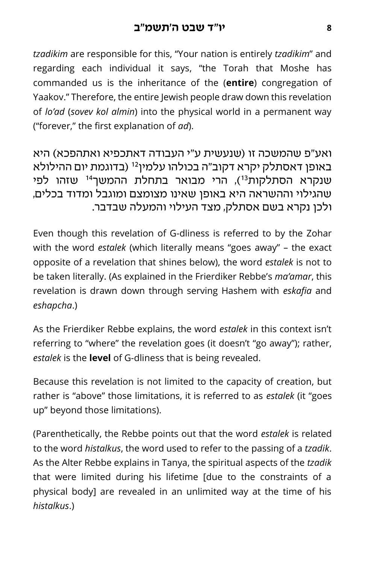*tzadikim* are responsible for this, "Your nation is entirely *tzadikim*" and regarding each individual it says, "the Torah that Moshe has commanded us is the inheritance of the (**entire**) congregation of Yaakov." Therefore, the entire Jewish people draw down this revelation of *lo'ad* (*sovev kol almin*) into the physical world in a permanent way ("forever," the first explanation of *ad*).

ואע"פ שהמשכה זו )שנעשית ע"י העבודה דאתכפיא ואתהפכא( היא באופן דאסתלק יקרא דקוב"ה בכולהו עלמין<sup>12</sup> (בדוגמת יום ההילולא שנקרא הסתלקות<sup>13</sup>), הרי מבואר בתחלת ההמשך<sup>14</sup> שזהו לפי שהגילוי וההשראה היא באופן שאינו מצומצם ומוגבל ומדוד בכלים, ולכן נקרא בשם אסתלק, מצד העילוי והמעלה שבדבר.

Even though this revelation of G-dliness is referred to by the Zohar with the word *estalek* (which literally means "goes away" – the exact opposite of a revelation that shines below), the word *estalek* is not to be taken literally. (As explained in the Frierdiker Rebbe's *ma'amar*, this revelation is drawn down through serving Hashem with *eskafia* and *eshapcha*.)

As the Frierdiker Rebbe explains, the word *estalek* in this context isn't referring to "where" the revelation goes (it doesn't "go away"); rather, *estalek* is the **level** of G-dliness that is being revealed.

Because this revelation is not limited to the capacity of creation, but rather is "above" those limitations, it is referred to as *estalek* (it "goes up" beyond those limitations).

(Parenthetically, the Rebbe points out that the word *estalek* is related to the word *histalkus*, the word used to refer to the passing of a *tzadik*. As the Alter Rebbe explains in Tanya, the spiritual aspects of the *tzadik*  that were limited during his lifetime [due to the constraints of a physical body] are revealed in an unlimited way at the time of his *histalkus*.)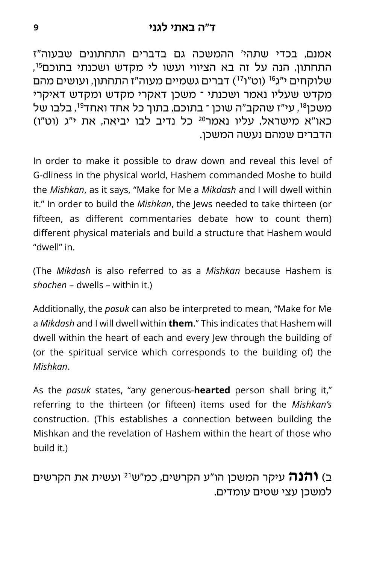אמנם, בכדי שתהי' ההמשכה גם בדברים התחתונים שבעוה"ז 15 התחתון, הנה על זה בא הציווי ועשו לי מקדש ושכנתי בתוכם , שלוקחים י"ג<sup>16</sup> (וט"ו<sup>17</sup>) דברים גשמיים מעוה"ז התחתון, ועושים מהם מקדש שעליו נאמר ושכנתי – משכן דאקרי מקדש ומקדש דאיקרי משכן<sup>18</sup>, עי"ז שהקב"ה שוכן ־ בתוכם, בתוך כל אחד ואחד<sup>19</sup>, בלבו של כאו"א מישראל, עליו נאמר<sup>20</sup> כל נדיב לבו יביאה, את י"ג (וט"ו) הדברים שמהם נעשה המשכן.

In order to make it possible to draw down and reveal this level of G-dliness in the physical world, Hashem commanded Moshe to build the *Mishkan*, as it says, "Make for Me a *Mikdash* and I will dwell within it." In order to build the *Mishkan*, the Jews needed to take thirteen (or fifteen, as different commentaries debate how to count them) different physical materials and build a structure that Hashem would "dwell" in.

(The *Mikdash* is also referred to as a *Mishkan* because Hashem is *shochen* – dwells – within it.)

Additionally, the *pasuk* can also be interpreted to mean, "Make for Me a *Mikdash* and I will dwell within **them**." This indicates that Hashem will dwell within the heart of each and every lew through the building of (or the spiritual service which corresponds to the building of) the *Mishkan*.

As the *pasuk* states, "any generous-**hearted** person shall bring it," referring to the thirteen (or fifteen) items used for the *Mishkan's*  construction. (This establishes a connection between building the Mishkan and the revelation of Hashem within the heart of those who build it.)

 ועשית את הקרשים <sup>21</sup> ב( **והנה** עיקר המשכן הו"ע הקרשים, כמ"ש למשכן עצי שטים עומדים.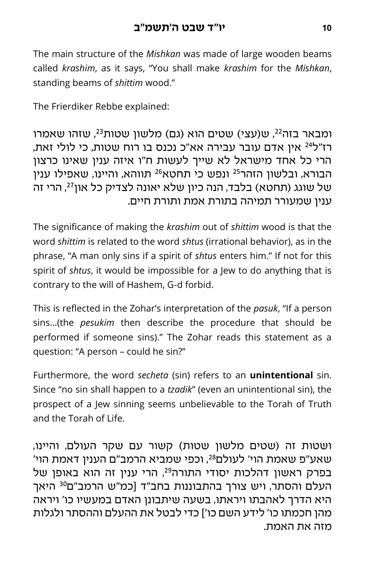The main structure of the *Mishkan* was made of large wooden beams called *krashim*, as it says, "You shall make *krashim* for the *Mishkan*, standing beams of *shittim* wood."

The Frierdiker Rebbe explained:

ומבאר בזה<sup>22</sup>, ש(עצי) שטים הוא (גם) מלשון שטות<sup>23</sup>, שזהו שאמרו אין אדם עובר עבירה אא"כ נכנס בו רוח שטות, כי לולי זאת, <sup>24</sup> רז"ל הרי כל אחד מישראל לא שייך לעשות ח"ו איזה ענין שאינו כרצון הבורא, ובלשון הזהר<sup>25</sup> ונפש כי תחטא<sup>26</sup> תווהא, והיינו, שאפילו ענין של שוגג (תחטא) בלבד, הנה כיון שלא יאונה לצדיק כל און <sup>27</sup>, הרי זה ענין שמעורר תמיהה בתורת אמת ותורת חיים.

The significance of making the *krashim* out of *shittim* wood is that the word *shittim* is related to the word *shtus* (irrational behavior), as in the phrase, "A man only sins if a spirit of *shtus* enters him." If not for this spirit of *shtus*, it would be impossible for a Jew to do anything that is contrary to the will of Hashem, G-d forbid.

This is reflected in the Zohar's interpretation of the *pasuk*, "If a person sins…(the *pesukim* then describe the procedure that should be performed if someone sins)." The Zohar reads this statement as a question: "A person – could he sin?"

Furthermore, the word *secheta* (sin) refers to an **unintentional** sin. Since "no sin shall happen to a *tzadik*" (even an unintentional sin), the prospect of a Jew sinning seems unbelievable to the Torah of Truth and the Torah of Life.

ושטות זה )שטים מלשון שטות( קשור עם שקר העולם, והיינו, שאע"פ שאמת הוי' לעולם28, וכפי שמביא הרמב"ם הענין דאמת הוי' בפרק ראשון דהלכות יסודי התורה<sup>29</sup>, הרי ענין זה הוא באופן של העלם והסתר, ויש צורך בהתבוננות בחב"ד [כמ"ש הרמב"ם<sup>30</sup> היאך היא הדרך לאהבתו ויראתו, בשעה שיתבונן האדם במעשיו כו' ויראה מהן חכמתו כו' לידע השם כו'[ כדי לבטל את ההעלם וההסתר ולגלות מזה את האמת.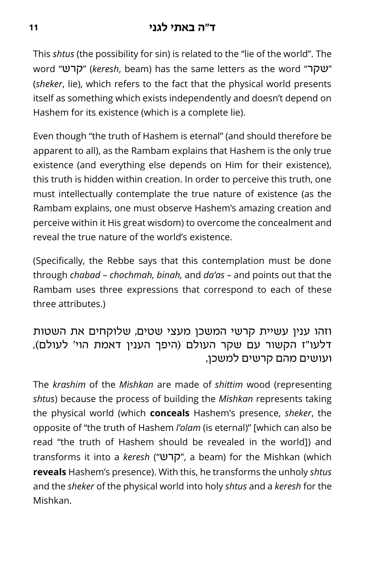This *shtus* (the possibility for sin) is related to the "lie of the world". The word "**שקר**ש" (keresh, beam) has the same letters as the word "שקר (*sheker*, lie), which refers to the fact that the physical world presents itself as something which exists independently and doesn't depend on Hashem for its existence (which is a complete lie).

Even though "the truth of Hashem is eternal" (and should therefore be apparent to all), as the Rambam explains that Hashem is the only true existence (and everything else depends on Him for their existence), this truth is hidden within creation. In order to perceive this truth, one must intellectually contemplate the true nature of existence (as the Rambam explains, one must observe Hashem's amazing creation and perceive within it His great wisdom) to overcome the concealment and reveal the true nature of the world's existence.

(Specifically, the Rebbe says that this contemplation must be done through *chabad* – *chochmah, binah,* and *da'as* – and points out that the Rambam uses three expressions that correspond to each of these three attributes.)

וזהו ענין עשיית קרשי המשכן מעצי שטים, שלוקחים את השטות דלעו"ז הקשור עם שקר העולם (היפך הענין דאמת הוי' לעולם), ועושים מהם קרשים למשכן,

The *krashim* of the *Mishkan* are made of *shittim* wood (representing *shtus*) because the process of building the *Mishkan* represents taking the physical world (which **conceals** Hashem's presence, *sheker*, the opposite of "the truth of Hashem *l'olam* (is eternal)" [which can also be read "the truth of Hashem should be revealed in the world]) and transforms it into a *keresh* ("קרש", a beam) for the Mishkan (which **reveals** Hashem's presence). With this, he transforms the unholy *shtus* and the *sheker* of the physical world into holy *shtus* and a *keresh* for the Mishkan.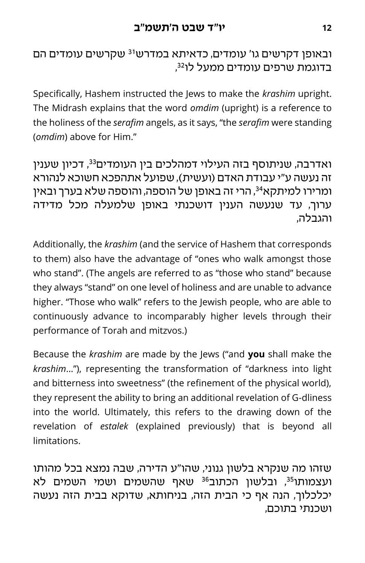#### <span id="page-11-0"></span>ובאופן דקרשים גו' עומדים, כדאיתא במדרש<sup>31</sup> שקרשים עומדים הם 32 בדוגמת שרפים עומדים ממעל לו ,

Specifically, Hashem instructed the Jews to make the *krashim* upright. The Midrash explains that the word *omdim* (upright) is a reference to the holiness of the *serafim* angels, as it says, "the *serafim* were standing (*omdim*) above for Him."

, דכיון שענין <sup>33</sup> ואדרבה, שניתוסף בזה העילוי דמהלכים בין העומדים זה נעשה ע"י עבודת האדם )ועשית(, שפועל אתהפכא חשוכא לנהורא , הרי זה באופן של הוספה, והוספה שלא בערך ובאין <sup>34</sup> ומרירו למיתקא ערוך, עד שנעשה הענין דושכנתי באופן שלמעלה מכל מדידה והגבלה,

Additionally, the *krashim* (and the service of Hashem that corresponds to them) also have the advantage of "ones who walk amongst those who stand". (The angels are referred to as "those who stand" because they always "stand" on one level of holiness and are unable to advance higher. "Those who walk" refers to the Jewish people, who are able to continuously advance to incomparably higher levels through their performance of Torah and mitzvos.)

Because the *krashim* are made by the Jews ("and **you** shall make the *krashim*…"), representing the transformation of "darkness into light and bitterness into sweetness" (the refinement of the physical world), they represent the ability to bring an additional revelation of G-dliness into the world. Ultimately, this refers to the drawing down of the revelation of *estalek* (explained previously) that is beyond all limitations.

שזהו מה שנקרא בלשון גנוני, שהו"ע הדירה, שבה נמצא בכל מהותו ועצמותו<sup>35</sup>, ובלשון הכתוב<sup>36</sup> שאף שהשמים ושמי השמים לא יכלכלוך, הנה אף כי הבית הזה, בניחותא, שדוקא בבית הזה נעשה ושכנתי בתוכם,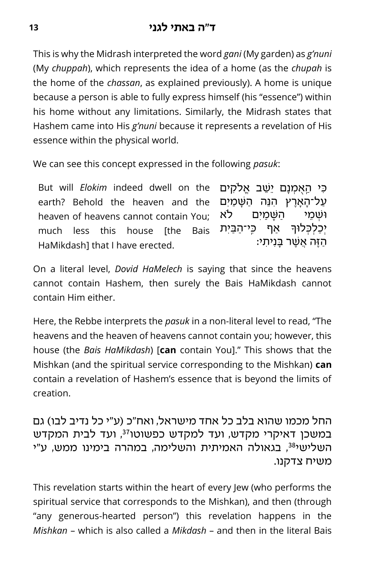This is why the Midrash interpreted the word *gani* (My garden) as *g'nuni* (My *chuppah*), which represents the idea of a home (as the *chupah* is the home of the *chassan*, as explained previously). A home is unique because a person is able to fully express himself (his "essence") within his home without any limitations. Similarly, the Midrash states that Hashem came into His *g'nuni* because it represents a revelation of His essence within the physical world.

We can see this concept expressed in the following *pasuk*:

But will *Elokim* indeed dwell on the earth? Behold the heaven and the heaven of heavens cannot contain You; much less this house [the Bais HaMikdash] that I have erected. ַּכִּי הַאָּמְנַם יֵשֵׁב אֱלֹקִים ַעֲל־הַאֲרֵץ הָנֶה הַשַּׁמַיִם וּשׁמים לֹא יִכַלְכָּלוּךָּ אַף כֵּי־הַבֵּיִת ַהֶ זה ֲא ֶשר בִני ִתי:

On a literal level, *Dovid HaMelech* is saying that since the heavens cannot contain Hashem, then surely the Bais HaMikdash cannot contain Him either.

Here, the Rebbe interprets the *pasuk* in a non-literal level to read, "The heavens and the heaven of heavens cannot contain you; however, this house (the *Bais HaMikdash*) [**can** contain You]." This shows that the Mishkan (and the spiritual service corresponding to the Mishkan) **can**  contain a revelation of Hashem's essence that is beyond the limits of creation.

החל מכמו שהוא בלב כל אחד מישראל, ואח"כ (ע"י כל נדיב לבו) גם במשכן דאיקרי מקדש, ועד למקדש כפשוטו<sup>37</sup>, ועד לבית המקדש השלישי<sup>38</sup>, בגאולה האמיתית והשלימה, במהרה בימינו ממש, ע"י משיח צדקנו.

This revelation starts within the heart of every Jew (who performs the spiritual service that corresponds to the Mishkan), and then (through "any generous-hearted person") this revelation happens in the *Mishkan* – which is also called a *Mikdash* – and then in the literal Bais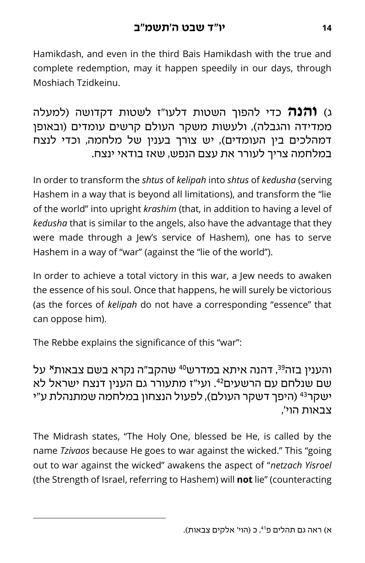Hamikdash, and even in the third Bais Hamikdash with the true and complete redemption, may it happen speedily in our days, through Moshiach Tzidkeinu.

ג( **והנה** כדי להפוך השטות דלעו"ז לשטות דקדושה )למעלה ממדידה והגבלה), ולעשות משקר העולם קרשים עומדים (ובאופן דמהלכים בין העומדים), יש צורך בענין של מלחמה, וכדי לנצח במלחמה צריך לעורר את עצם הנפש, שאז בודאי ינצח.

In order to transform the *shtus* of *kelipah* into *shtus* of *kedusha* (serving Hashem in a way that is beyond all limitations), and transform the "lie of the world" into upright *krashim* (that, in addition to having a level of *kedusha* that is similar to the angels, also have the advantage that they were made through a Jew's service of Hashem), one has to serve Hashem in a way of "war" (against the "lie of the world").

In order to achieve a total victory in this war, a Jew needs to awaken the essence of his soul. Once that happens, he will surely be victorious (as the forces of *kelipah* do not have a corresponding "essence" that can oppose him).

The Rebbe explains the significance of this "war":

#### 41 על <sup>40</sup> , דהנה איתא במדרש <sup>39</sup> והענין בזה **א**  שהקב"ה נקרא בשם צבאות שם שנלחם עם הרשעים <sup>42</sup>. ועי"ז מתעורר גם הענין דנצח ישראל לא ישקר<sup>43</sup> (היפך דשקר העולם), לפעול הנצחון במלחמה שמתנהלת ע"י צבאות הוי',

The Midrash states, "The Holy One, blessed be He, is called by the name *Tzivaos* because He goes to war against the wicked." This "going out to war against the wicked" awakens the aspect of "*netzach Yisroel*  (the Strength of Israel, referring to Hashem) will **not** lie" (counteracting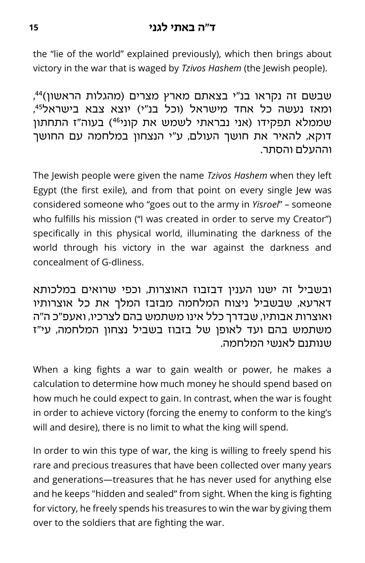#### **ד"ה באתי לגני <sup>15</sup>**

the "lie of the world" explained previously), which then brings about victory in the war that is waged by *Tzivos Hashem* (the Jewish people).

שבשם זה נקראו בנ"י בצאתם מארץ מצרים (מהגלות הראשון)<sup>44</sup>, ומאז נעשה כל אחד מישראל (וכל בנ"י) יוצא צבא בישראל<sup>45</sup>, שממלא תפקידו (אני נבראתי לשמש את קוני<sup>46</sup>) בעוה"ז התחתון דוקא, להאיר את חושך העולם, ע"י הנצחון במלחמה עם החושך וההעלם והסתר.

The Jewish people were given the name *Tzivos Hashem* when they left Egypt (the first exile), and from that point on every single Jew was considered someone who "goes out to the army in *Yisroel*" – someone who fulfills his mission ("I was created in order to serve my Creator") specifically in this physical world, illuminating the darkness of the world through his victory in the war against the darkness and concealment of G-dliness.

ובשביל זה ישנו הענין דבזבוז האוצרות, וכפי שרואים במלכותא דארעא, שבשביל ניצוח המלחמה מבזבז המלך את כל אוצרותיו ואוצרות אבותיו, שבדרך כלל אינו משתמש בהם לצרכיו, ואעפ"כ ה"ה משתמש בהם ועד לאופן של בזבוז בשביל נצחון המלחמה, עי"ז שנותנם לאנשי המלחמה.

When a king fights a war to gain wealth or power, he makes a calculation to determine how much money he should spend based on how much he could expect to gain. In contrast, when the war is fought in order to achieve victory (forcing the enemy to conform to the king's will and desire), there is no limit to what the king will spend.

In order to win this type of war, the king is willing to freely spend his rare and precious treasures that have been collected over many years and generations—treasures that he has never used for anything else and he keeps "hidden and sealed" from sight. When the king is fighting for victory, he freely spends his treasures to win the war by giving them over to the soldiers that are fighting the war.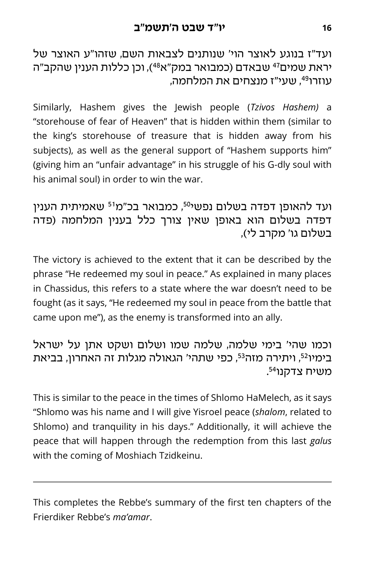ועד"ז בנוגע לאוצר הוי' שנותנים לצבאות השם, שזהו"ע האוצר של יראת שמים<sup>47</sup> שבאדם (כמבואר במק"א<sup>48</sup>), וכן כללות הענין שהקב"ה , עוזרו<sup>49</sup>, שעי"ז מנצחים את המלחמה

Similarly, Hashem gives the Jewish people (*Tzivos Hashem)* a "storehouse of fear of Heaven" that is hidden within them (similar to the king's storehouse of treasure that is hidden away from his subjects), as well as the general support of "Hashem supports him" (giving him an "unfair advantage" in his struggle of his G-dly soul with his animal soul) in order to win the war.

ועד להאופן דפדה בשלום נפשי<sup>50</sup>, כמבואר בכ"מ<sup>51</sup> שאמיתית הענין דפדה בשלום הוא באופן שאין צורך כלל בענין המלחמה )פדה בשלום גו' מקרב לי),

The victory is achieved to the extent that it can be described by the phrase "He redeemed my soul in peace." As explained in many places in Chassidus, this refers to a state where the war doesn't need to be fought (as it says, "He redeemed my soul in peace from the battle that came upon me"), as the enemy is transformed into an ally.

וכמו שהי' בימי שלמה, שלמה שמו ושלום ושקט אתן על ישראל בימיו<sup>52</sup>, ויתירה מזה<sup>53</sup>, כפי שתהי' הגאולה מגלות זה האחרון, בביאת . משיח צדקנו<sup>54</sup>

This is similar to the peace in the times of Shlomo HaMelech, as it says "Shlomo was his name and I will give Yisroel peace (*shalom*, related to Shlomo) and tranquility in his days." Additionally, it will achieve the peace that will happen through the redemption from this last *galus* with the coming of Moshiach Tzidkeinu.

This completes the Rebbe's summary of the first ten chapters of the Frierdiker Rebbe's *ma'amar*.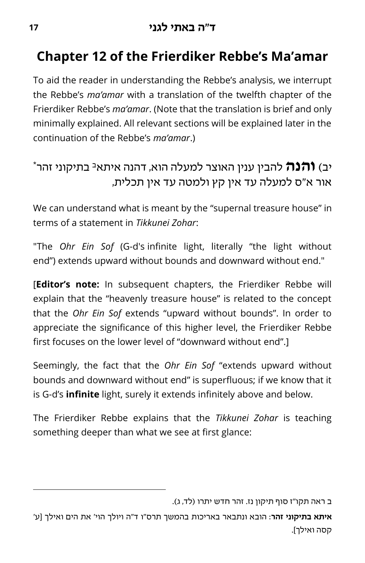# **Chapter 12 of the Frierdiker Rebbe's Ma'amar**

To aid the reader in understanding the Rebbe's analysis, we interrupt the Rebbe's *ma'amar* with a translation of the twelfth chapter of the Frierdiker Rebbe's *ma'amar*. (Note that the translation is brief and only minimally explained. All relevant sections will be explained later in the continuation of the Rebbe's *ma'amar*.)

## יב) **והנה** להבין ענין האוצר למעלה הוא, דהנה איתא<sup>ב</sup> בתיקוני זהר\* אור א"ס למעלה עד אין קץ ולמטה עד אין תכלית,

We can understand what is meant by the "supernal treasure house" in terms of a statement in *Tikkunei Zohar*:

"The *Ohr Ein Sof* (G-d's infinite light, literally "the light without end") extends upward without bounds and downward without end."

[**Editor's note:** In subsequent chapters, the Frierdiker Rebbe will explain that the "heavenly treasure house" is related to the concept that the *Ohr Ein Sof* extends "upward without bounds". In order to appreciate the significance of this higher level, the Frierdiker Rebbe first focuses on the lower level of "downward without end".]

Seemingly, the fact that the *Ohr Ein Sof* "extends upward without bounds and downward without end" is superfluous; if we know that it is G-d's **infinite** light, surely it extends infinitely above and below.

The Frierdiker Rebbe explains that the *Tikkunei Zohar* is teaching something deeper than what we see at first glance:

ב ראה תקו"ז סוף תיקון נז. זהר חדש יתרו (לד, ג).

**איתא בתיקוני זהר**: הובא ונתבאר באריכות בהמשך תרס"ו ד"ה ויולך הוי' את הים ואילך ]ע' קסה ואילך[.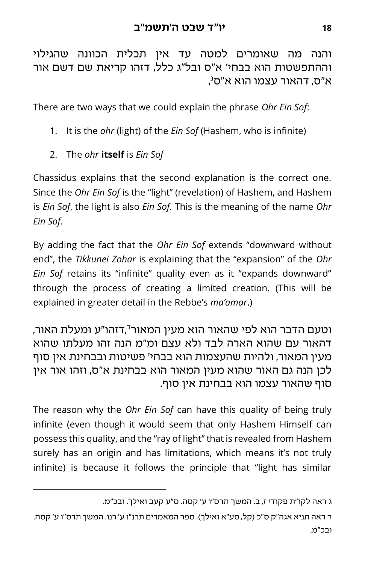והנה מה שאומרים למטה עד אין תכלית הכוונה שהגילוי וההתפשטות הוא בבחי' א"ס ובל"ג כלל, דזהו קריאת שם דשם אור , א"ס, דהאור עצמו הוא א"ס<sup>ג</sup>

There are two ways that we could explain the phrase *Ohr Ein Sof*:

- 1. It is the *ohr* (light) of the *Ein Sof* (Hashem, who is infinite)
- 2. The *ohr* **itself** is *Ein Sof*

Chassidus explains that the second explanation is the correct one. Since the *Ohr Ein Sof* is the "light" (revelation) of Hashem, and Hashem is *Ein Sof*, the light is also *Ein Sof.* This is the meaning of the name *Ohr Ein Sof*.

By adding the fact that the *Ohr Ein Sof* extends "downward without end", the *Tikkunei Zohar* is explaining that the "expansion" of the *Ohr Ein Sof* retains its "infinite" quality even as it "expands downward" through the process of creating a limited creation. (This will be explained in greater detail in the Rebbe's *ma'amar*.)

ד וטעם הדבר הוא לפי שהאור הוא מעין המאור ,דזהו"ע ומעלת האור, דהאור עם שהוא הארה לבד ולא עצם ומ"מ הנה זהו מעלתו שהוא מעין המאור, ולהיות שהעצמות הוא בבחי' פשיטות ובבחינת אין סוף לכן הנה גם האור שהוא מעין המאור הוא בבחינת א"ס, וזהו אור אין סוף שהאור עצמו הוא בבחינת אין סוף.

The reason why the *Ohr Ein Sof* can have this quality of being truly infinite (even though it would seem that only Hashem Himself can possess this quality, and the "ray of light" that is revealed from Hashem surely has an origin and has limitations, which means it's not truly infinite) is because it follows the principle that "light has similar

ג ראה לקו"ת פקודי ז, ב. המשך תרס"ו ע' קסה. ס"ע קעב ואילך. ובכ"מ.

ד ראה תניא אגה"ק ס"כ )קל, סע"א ואילך(. ספר המאמרים תרנ"ו ע' רנו. המשך תרס"ו ע' קסח. ובכ"מ.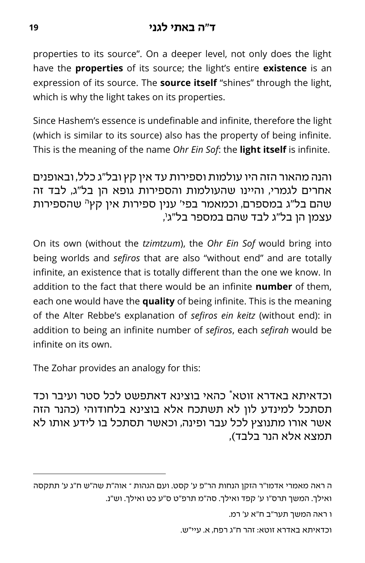properties to its source". On a deeper level, not only does the light have the **properties** of its source; the light's entire **existence** is an expression of its source. The **source itself** "shines" through the light, which is why the light takes on its properties.

Since Hashem's essence is undefinable and infinite, therefore the light (which is similar to its source) also has the property of being infinite. This is the meaning of the name *Ohr Ein Sof*: the **light itself** is infinite.

והנה מהאור הזה היו עולמות וספירות עד אין קץ ובל"ג כלל, ובאופנים אחרים לגמרי, והיינו שהעולמות והספירות גופא הן בל"ג, לבד זה שהם בל"ג במספרם, וכמאמר בפי' ענין ספירות אין קץ<sup>ה</sup> שהספירות ו עצמן הן בל"ג לבד שהם במספר בל"ג ,

On its own (without the *tzimtzum*), the *Ohr Ein Sof* would bring into being worlds and *sefiros* that are also "without end" and are totally infinite, an existence that is totally different than the one we know. In addition to the fact that there would be an infinite **number** of them, each one would have the **quality** of being infinite. This is the meaning of the Alter Rebbe's explanation of *sefiros ein keitz* (without end): in addition to being an infinite number of *sefiros*, each *sefirah* would be infinite on its own.

The Zohar provides an analogy for this:

וכדאיתא באדרא זוטא<sup>\*</sup> כהאי בוצינא דאתפשט לכל סטר ועיבר וכד תסתכל למינדע לון לא תשתכח אלא בוצינא בלחודוהי )כהנר הזה אשר אורו מתנוצץ לכל עבר ופינה, וכאשר תסתכל בו לידע אותו לא תמצא אלא הנר בלבד),

ו ראה המשך תער"ב ח"א ע' רמ.

וכדאיתא באדרא זוטא: זהר ח"ג רפח, א. עיי"ש.

ה ראה מאמרי אדמו"ר הזקן הנחות הר"פ ע' קסט. ועם הגהות – אוה"ת שה"ש ח"ג ע' תתקסה ואילך. המשך תרס"ו ע' קפד ואילך. סה"מ תרפ"ט ס"ע כט ואילך. וש"נ.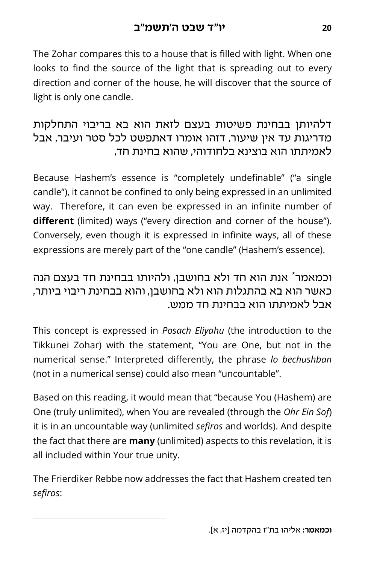The Zohar compares this to a house that is filled with light. When one looks to find the source of the light that is spreading out to every direction and corner of the house, he will discover that the source of light is only one candle.

#### דלהיותן בבחינת פשיטות בעצם לזאת הוא בא בריבוי התחלקות מדריגות עד אין שיעור, דזהו אומרו דאתפשט לכל סטר ועיבר, אבל לאמיתתו הוא בוצינא בלחודוהי, שהוא בחינת חד,

Because Hashem's essence is "completely undefinable" ("a single candle"), it cannot be confined to only being expressed in an unlimited way. Therefore, it can even be expressed in an infinite number of **different** (limited) ways ("every direction and corner of the house"). Conversely, even though it is expressed in infinite ways, all of these expressions are merely part of the "one candle" (Hashem's essence).

#### וכמאמר\* אנת הוא חד ולא בחושבן, ולהיותו בבחינת חד בעצם הנה כאשר הוא בא בהתגלות הוא ולא בחושבן, והוא בבחינת ריבוי ביותר, אבל לאמיתתו הוא בבחינת חד ממש.

This concept is expressed in *Posach Eliyahu* (the introduction to the Tikkunei Zohar) with the statement, "You are One, but not in the numerical sense." Interpreted differently, the phrase *lo bechushban* (not in a numerical sense) could also mean "uncountable".

Based on this reading, it would mean that "because You (Hashem) are One (truly unlimited), when You are revealed (through the *Ohr Ein Sof*) it is in an uncountable way (unlimited *sefiros* and worlds). And despite the fact that there are **many** (unlimited) aspects to this revelation, it is all included within Your true unity.

The Frierdiker Rebbe now addresses the fact that Hashem created ten *sefiros*: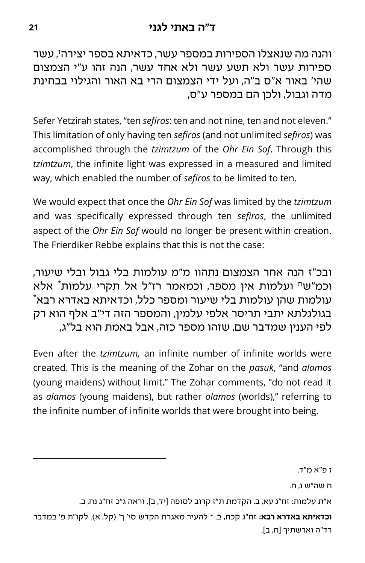ז והנה מה שנאצלו הספירות במספר עשר, כדאיתא בספר יצירה , עשר ספירות עשר ולא תשע עשר ולא אחד עשר, הנה זהו ע"י הצמצום שהי' באור א"ס ב"ה, ועל ידי הצמצום הרי בא האור והגילוי בבחינת מדה וגבול, ולכן הם במספר ע"ס,

Sefer Yetzirah states, "ten *sefiros*: ten and not nine, ten and not eleven." This limitation of only having ten *sefiros* (and not unlimited *sefiros*) was accomplished through the *tzimtzum* of the *Ohr Ein Sof*. Through this *tzimtzum*, the infinite light was expressed in a measured and limited way, which enabled the number of *sefiros* to be limited to ten.

We would expect that once the *Ohr Ein Sof* was limited by the *tzimtzum* and was specifically expressed through ten *sefiros*, the unlimited aspect of the *Ohr Ein Sof* would no longer be present within creation. The Frierdiker Rebbe explains that this is not the case:

ובכ"ז הנה אחר הצמצום נתהוו מ"מ עולמות בלי גבול ובלי שיעור, וכמ"ש<sup>ח</sup> ועלמות אין מספר, וכמאמר רז"ל אל תקרי עלמות<sup>\*</sup> אלא  $*$  עולמות שהן עולמות בלי שיעור ומספר כלל, וכדאיתא באדרא רבא בגולגלתא יתבי תריסר אלפי עלמין, והמספר הזה די"ב אלף הוא רק לפי הענין שמדבר שם, שזהו מספר כזה, אבל באמת הוא בל"ג,

Even after the *tzimtzum,* an infinite number of infinite worlds were created. This is the meaning of the Zohar on the *pasuk*, "and *alamos*  (young maidens) without limit." The Zohar comments, "do not read it as *alamos* (young maidens), but rather *olamos* (worlds)," referring to the infinite number of infinite worlds that were brought into being.

ז פ"א מ"ד.

ח שה"ש ו, ח.

א"ת עלמות: זח"ג עא, ב. הקדמת ת"ז קרוב לסופה ]יד, ב[. וראה ג"כ זח"ג נח, ב.

**וכדאיתא באדרא רבא:** זח"ג קכח, ב. – להעיר מאגרת הקדש סי' ך' )קל, א(. לקו"ת פ' במדבר רד"ה וארשתיך ]ח, ב[.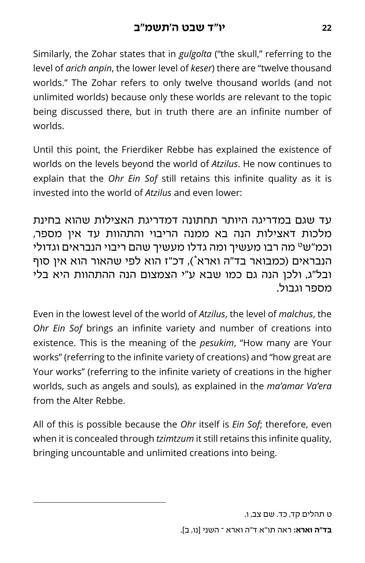Similarly, the Zohar states that in *gulgolta* ("the skull," referring to the level of *arich anpin*, the lower level of *keser*) there are "twelve thousand worlds." The Zohar refers to only twelve thousand worlds (and not unlimited worlds) because only these worlds are relevant to the topic being discussed there, but in truth there are an infinite number of worlds.

Until this point, the Frierdiker Rebbe has explained the existence of worlds on the levels beyond the world of *Atzilus*. He now continues to explain that the *Ohr Ein Sof* still retains this infinite quality as it is invested into the world of *Atzilus* and even lower:

עד שגם במדריגה היותר תחתונה דמדריגת האצילות שהוא בחינת מלכות דאצילות הנה בא ממנה הריבוי והתהוות עד אין מספר, ט וכמ"ש מה רבו מעשיך ומה גדלו מעשיך שהם ריבוי הנבראים וגדולי הנבראים (כמבואר בד"ה וארא"), דכ"ז הוא לפי שהאור הוא אין סוף ובל"ג, ולכן הנה גם כמו שבא ע"י הצמצום הנה ההתהוות היא בלי מספר וגבול.

Even in the lowest level of the world of *Atzilus*, the level of *malchus*, the *Ohr Ein Sof* brings an infinite variety and number of creations into existence. This is the meaning of the *pesukim*, "How many are Your works" (referring to the infinite variety of creations) and "how great are Your works" (referring to the infinite variety of creations in the higher worlds, such as angels and souls), as explained in the *ma'amar Va'era*  from the Alter Rebbe.

All of this is possible because the *Ohr* itself is *Ein Sof*; therefore, even when it is concealed through *tzimtzum* it still retains this infinite quality, bringing uncountable and unlimited creations into being.

ט תהלים קד, כד. שם צב, ו.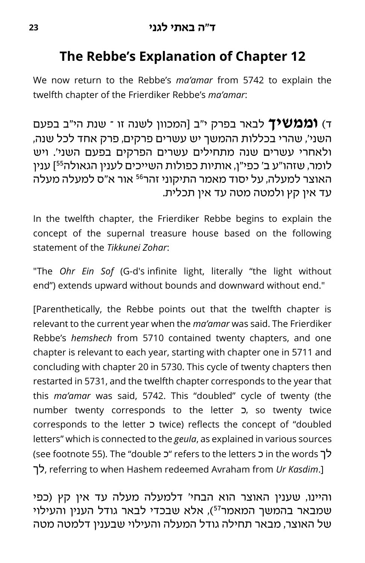# **The Rebbe's Explanation of Chapter 12**

We now return to the Rebbe's *ma'amar* from 5742 to explain the twelfth chapter of the Frierdiker Rebbe's *ma'amar*:

ד( **וממשיך** לבאר בפרק י"ב ]המכוון לשנה זו – שנת הי"ב בפעם השני', שהרי בכללות ההמשך יש עשרים פרקים, פרק אחד לכל שנה, ולאחרי עשרים שנה מתחילים עשרים הפרקים בפעם השני'. ויש [ ענין <sup>55</sup> לומר, שזהו"ע ב' כפי"ן, אותיות כפולות השייכים לענין הגאולה האוצר למעלה, על יסוד מאמר התיקוני זהר<sup>56</sup> אור א"ס למעלה מעלה עד אין קץ ולמטה מטה עד אין תכלית.

In the twelfth chapter, the Frierdiker Rebbe begins to explain the concept of the supernal treasure house based on the following statement of the *Tikkunei Zohar*:

"The *Ohr Ein Sof* (G-d's infinite light, literally "the light without end") extends upward without bounds and downward without end."

[Parenthetically, the Rebbe points out that the twelfth chapter is relevant to the current year when the *ma'amar* was said. The Frierdiker Rebbe's *hemshech* from 5710 contained twenty chapters, and one chapter is relevant to each year, starting with chapter one in 5711 and concluding with chapter 20 in 5730. This cycle of twenty chapters then restarted in 5731, and the twelfth chapter corresponds to the year that this *ma'amar* was said, 5742. This "doubled" cycle of twenty (the number twenty corresponds to the letter כ, so twenty twice corresponds to the letter כ twice) reflects the concept of "doubled letters" which is connected to the *geula*, as explained in various sources (see footnote 55). The "double כ' refers to the letters כ' in the words כ' לך, referring to when Hashem redeemed Avraham from *Ur Kasdim*.]

והיינו, שענין האוצר הוא הבחי' דלמעלה מעלה עד אין קץ )כפי שמבאר בהמשך המאמר <sup>57</sup>(, אלא שבכדי לבאר גודל הענין והעילוי של האוצר, מבאר תחילה גודל המעלה והעילוי שבענין דלמטה מטה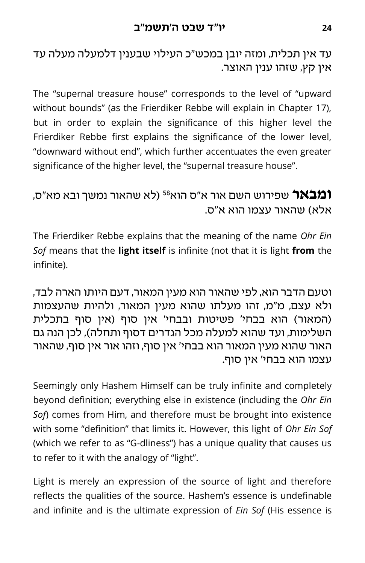עד אין תכלית, ומזה יובן במכש"כ העילוי שבענין דלמעלה מעלה עד אין קץ, שזהו ענין האוצר.

The "supernal treasure house" corresponds to the level of "upward without bounds" (as the Frierdiker Rebbe will explain in Chapter 17), but in order to explain the significance of this higher level the Frierdiker Rebbe first explains the significance of the lower level, "downward without end", which further accentuates the even greater significance of the higher level, the "supernal treasure house".

### )לא שהאור נמשך ובא מא"ס, <sup>58</sup> **ומבאר** שפירוש השם אור א"ס הוא אלא) שהאור עצמו הוא א"ס.

The Frierdiker Rebbe explains that the meaning of the name *Ohr Ein Sof* means that the **light itself** is infinite (not that it is light **from** the infinite).

וטעם הדבר הוא, לפי שהאור הוא מעין המאור, דעם היותו הארה לבד, ולא עצם, מ"מ, זהו מעלתו שהוא מעין המאור, ולהיות שהעצמות (המאור) הוא בבחי' פשיטות ובבחי' אין סוף (אין סוף בתכלית השלימות, ועד שהוא למעלה מכל הגדרים דסוף ותחלה), לכן הנה גם האור שהוא מעין המאור הוא בבחי' אין סוף, וזהו אור אין סוף, שהאור עצמו הוא בבחי' אין סוף.

Seemingly only Hashem Himself can be truly infinite and completely beyond definition; everything else in existence (including the *Ohr Ein Sof*) comes from Him, and therefore must be brought into existence with some "definition" that limits it. However, this light of *Ohr Ein Sof* (which we refer to as "G-dliness") has a unique quality that causes us to refer to it with the analogy of "light".

Light is merely an expression of the source of light and therefore reflects the qualities of the source. Hashem's essence is undefinable and infinite and is the ultimate expression of *Ein Sof* (His essence is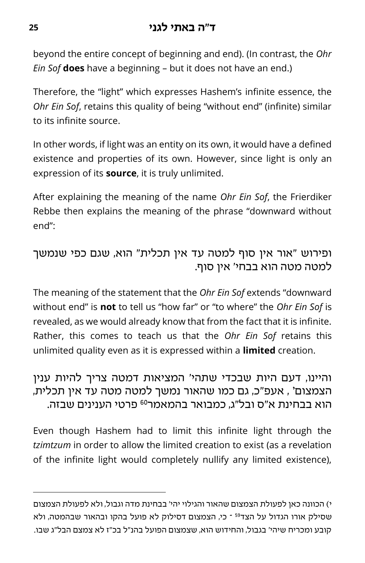beyond the entire concept of beginning and end). (In contrast, the *Ohr Ein Sof* **does** have a beginning – but it does not have an end.)

Therefore, the "light" which expresses Hashem's infinite essence, the *Ohr Ein Sof*, retains this quality of being "without end" (infinite) similar to its infinite source.

In other words, if light was an entity on its own, it would have a defined existence and properties of its own. However, since light is only an expression of its **source**, it is truly unlimited.

After explaining the meaning of the name *Ohr Ein Sof*, the Frierdiker Rebbe then explains the meaning of the phrase "downward without end":

#### ופירוש "אור אין סוף למטה עד אין תכלית" הוא, שגם כפי שנמשך למטה מטה הוא בבחי' אין סוף.

The meaning of the statement that the *Ohr Ein Sof* extends "downward without end" is **not** to tell us "how far" or "to where" the *Ohr Ein Sof* is revealed, as we would already know that from the fact that it is infinite. Rather, this comes to teach us that the *Ohr Ein Sof* retains this unlimited quality even as it is expressed within a **limited** creation.

והיינו, דעם היות שבכדי שתהי' המציאות דמטה צריך להיות ענין , אעפ"כ, גם כמו שהאור נמשך למטה מטה עד אין תכלית, <sup>59</sup> **<sup>י</sup>** הצמצום הוא בבחינת א"ס ובל"ג. כמבואר בהמאמר<sup>60</sup> פרטי הענינים שבזה.

Even though Hashem had to limit this infinite light through the *tzimtzum* in order to allow the limited creation to exist (as a revelation of the infinite light would completely nullify any limited existence),

י( הכוונה כאן לפעולת הצמצום שהאור והגילוי יהי' בבחינת מדה וגבול, ולא לפעולת הצמצום שסילק אורו הגדול על הצד<sup>59</sup> ־ כי, הצמצום דסילוק לא פועל בהקו ובהאור שבהמטה, ולא קובע ומכריח שיהי' בגבול, והחידוש הוא, שצמצום הפועל בהנ"ל בכ"ז לא צמצם הבל"ג שבו.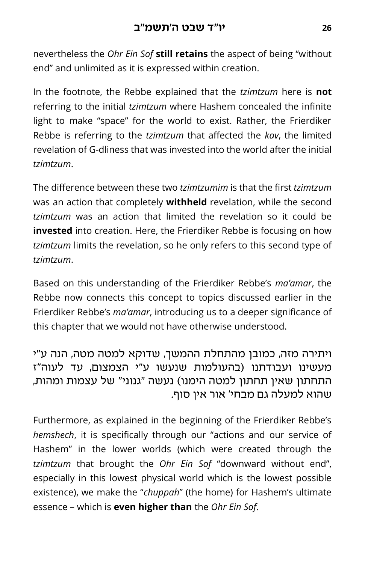nevertheless the *Ohr Ein Sof* **still retains** the aspect of being "without end" and unlimited as it is expressed within creation.

In the footnote, the Rebbe explained that the *tzimtzum* here is **not**  referring to the initial *tzimtzum* where Hashem concealed the infinite light to make "space" for the world to exist. Rather, the Frierdiker Rebbe is referring to the *tzimtzum* that affected the *kav*, the limited revelation of G-dliness that was invested into the world after the initial *tzimtzum*.

The difference between these two *tzimtzumim* is that the first *tzimtzum*  was an action that completely **withheld** revelation, while the second *tzimtzum* was an action that limited the revelation so it could be **invested** into creation. Here, the Frierdiker Rebbe is focusing on how *tzimtzum* limits the revelation, so he only refers to this second type of *tzimtzum*.

Based on this understanding of the Frierdiker Rebbe's *ma'amar*, the Rebbe now connects this concept to topics discussed earlier in the Frierdiker Rebbe's *ma'amar*, introducing us to a deeper significance of this chapter that we would not have otherwise understood.

#### ויתירה מזה, כמובן מהתחלת ההמשך, שדוקא למטה מטה, הנה ע"י מעשינו ועבודתנו )בהעולמות שנעשו ע"י הצמצום, עד לעוה"ז התחתון שאין תחתון למטה הימנו) נעשה "גנוני" של עצמות ומהות. שהוא למעלה גם מבחי' אור אין סוף.

Furthermore, as explained in the beginning of the Frierdiker Rebbe's *hemshech*, it is specifically through our "actions and our service of Hashem" in the lower worlds (which were created through the *tzimtzum* that brought the *Ohr Ein Sof* "downward without end", especially in this lowest physical world which is the lowest possible existence), we make the "*chuppah*" (the home) for Hashem's ultimate essence – which is **even higher than** the *Ohr Ein Sof*.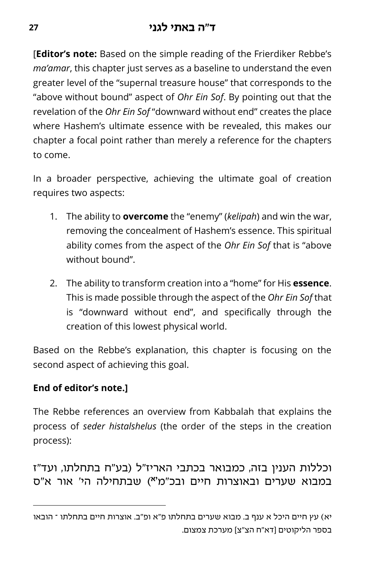#### **ד"ה באתי לגני <sup>27</sup>**

[**Editor's note:** Based on the simple reading of the Frierdiker Rebbe's *ma'amar*, this chapter just serves as a baseline to understand the even greater level of the "supernal treasure house" that corresponds to the "above without bound" aspect of *Ohr Ein Sof*. By pointing out that the revelation of the *Ohr Ein Sof* "downward without end" creates the place where Hashem's ultimate essence with be revealed, this makes our chapter a focal point rather than merely a reference for the chapters to come.

In a broader perspective, achieving the ultimate goal of creation requires two aspects:

- 1. The ability to **overcome** the "enemy" (*kelipah*) and win the war, removing the concealment of Hashem's essence. This spiritual ability comes from the aspect of the *Ohr Ein Sof* that is "above without bound".
- 2. The ability to transform creation into a "home" for His **essence**. This is made possible through the aspect of the *Ohr Ein Sof* that is "downward without end", and specifically through the creation of this lowest physical world.

Based on the Rebbe's explanation, this chapter is focusing on the second aspect of achieving this goal.

#### **End of editor's note.]**

The Rebbe references an overview from Kabbalah that explains the process of *seder histalshelus* (the order of the steps in the creation process):

וכללות הענין בזה, כמבואר בכתבי האריז"ל )בע"ח בתחלתו, ועד"ז ( שבתחילה הי' אור א"ס **יא** במבוא שערים ובאוצרות חיים ובכ"מ

יא) עץ חיים היכל א ענף ב. מבוא שערים בתחלתו פ"א ופ"ב. אוצרות חיים בתחלתו ־ הובאו בספר הליקוטים ]דא"ח הצ"צ[ מערכת צמצום.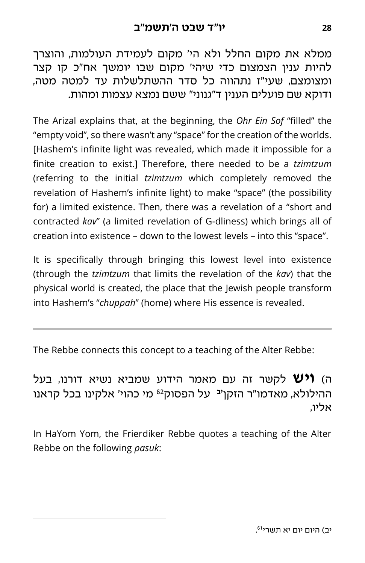ממלא את מקום החלל ולא הי' מקום לעמידת העולמות, והוצרך להיות ענין הצמצום כדי שיהי' מקום שבו יומשך אח"כ קו קצר ומצומצם, שעי"ז נתהווה כל סדר ההשתלשלות עד למטה מטה, ודוקא שם פועלים הענין ד"גנוני" ששם נמצא עצמות ומהות.

The Arizal explains that, at the beginning, the *Ohr Ein Sof* "filled" the "empty void", so there wasn't any "space" for the creation of the worlds. [Hashem's infinite light was revealed, which made it impossible for a finite creation to exist.] Therefore, there needed to be a *tzimtzum* (referring to the initial *tzimtzum* which completely removed the revelation of Hashem's infinite light) to make "space" (the possibility for) a limited existence. Then, there was a revelation of a "short and contracted *kav*" (a limited revelation of G-dliness) which brings all of creation into existence – down to the lowest levels – into this "space".

It is specifically through bringing this lowest level into existence (through the *tzimtzum* that limits the revelation of the *kav*) that the physical world is created, the place that the Jewish people transform into Hashem's "*chuppah*" (home) where His essence is revealed.

The Rebbe connects this concept to a teaching of the Alter Rebbe:

ה( **ויש** לקשר זה עם מאמר הידוע שמביא נשיא דורנו, בעל ההילולא, מאדמו"ר הזקן<sup>יב</sup> על הפסוק<sup>62</sup> מי כהוי' אלקינו בכל קראנו אליו,

In HaYom Yom, the Frierdiker Rebbe quotes a teaching of the Alter Rebbe on the following *pasuk*: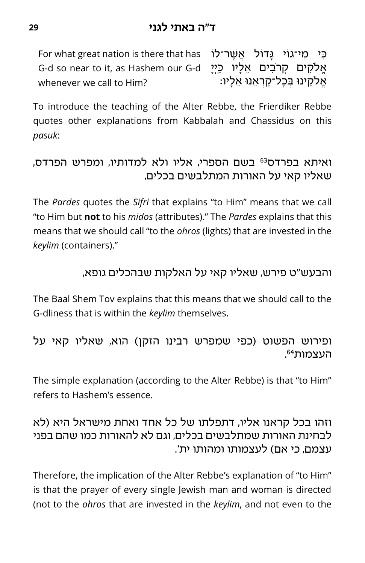For what great nation is there that has <mark>אֲשֶׁר־לֹו</mark> G-d so near to it, as Hashem our G-d whenever we call to Him?  $y$ אַלֹקים קרֹבִים אֵלָיו כֵּייַ ּאֱלֹקֵינוּ בְּכָל־קָרְאֵנוּ אֵלָיו:

To introduce the teaching of the Alter Rebbe, the Frierdiker Rebbe quotes other explanations from Kabbalah and Chassidus on this *pasuk*:

#### ואיתא בפרדס<sup>63</sup> בשם הספרי, אליו ולא למדותיו, ומפרש הפרדס, שאליו קאי על האורות המתלבשים בכלים,

The *Pardes* quotes the *Sifri* that explains "to Him" means that we call "to Him but **not** to his *midos* (attributes)." The *Pardes* explains that this means that we should call "to the *ohros* (lights) that are invested in the *keylim* (containers)."

#### והבעש"ט פירש, שאליו קאי על האלקות שבהכלים גופא,

The Baal Shem Tov explains that this means that we should call to the G-dliness that is within the *keylim* themselves.

#### ופירוש הפשוט (כפי שמפרש רבינו הזקן) הוא, שאליו קאי על <sup>64</sup>העצמות .

The simple explanation (according to the Alter Rebbe) is that "to Him" refers to Hashem's essence.

#### וזהו בכל קראנו אליו, דתפלתו של כל אחד ואחת מישראל היא )לא לבחינת האורות שמתלבשים בכלים, וגם לא להאורות כמו שהם בפני עצמם. כי אם) לעצמותו ומהותו ית'.

Therefore, the implication of the Alter Rebbe's explanation of "to Him" is that the prayer of every single Jewish man and woman is directed (not to the *ohros* that are invested in the *keylim*, and not even to the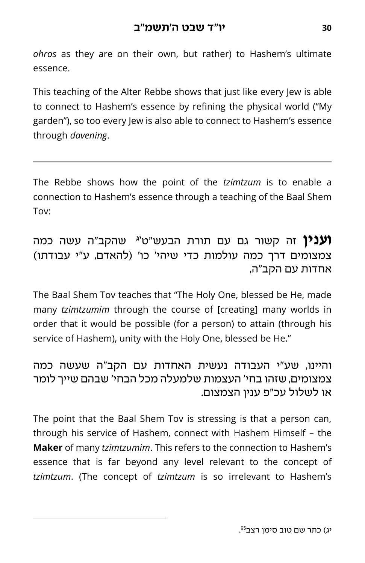*ohros* as they are on their own, but rather) to Hashem's ultimate essence.

This teaching of the Alter Rebbe shows that just like every Jew is able to connect to Hashem's essence by refining the physical world ("My garden"), so too every Jew is also able to connect to Hashem's essence through *davening*.

The Rebbe shows how the point of the *tzimtzum* is to enable a connection to Hashem's essence through a teaching of the Baal Shem Tov:

 שהקב"ה עשה כמה <sup>65</sup> **יג וענין** זה קשור גם עם תורת הבעש"ט צמצומים דרך כמה עולמות כדי שיהי' כו' )להאדם, ע"י עבודתו( אחדות עם הקב"ה,

The Baal Shem Tov teaches that "The Holy One, blessed be He, made many *tzimtzumim* through the course of [creating] many worlds in order that it would be possible (for a person) to attain (through his service of Hashem), unity with the Holy One, blessed be He."

#### והיינו, שע"י העבודה נעשית האחדות עם הקב"ה שעשה כמה צמצומים, שזהו בחי' העצמות שלמעלה מכל הבחי' שבהם שייך לומר או לשלול עכ"פ ענין הצמצום.

The point that the Baal Shem Tov is stressing is that a person can, through his service of Hashem, connect with Hashem Himself – the **Maker** of many *tzimtzumim*. This refers to the connection to Hashem's essence that is far beyond any level relevant to the concept of *tzimtzum*. (The concept of *tzimtzum* is so irrelevant to Hashem's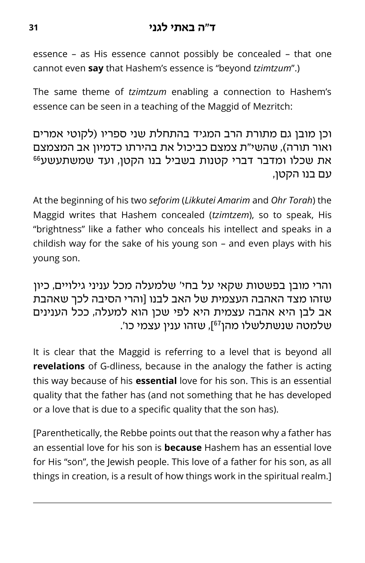essence – as His essence cannot possibly be concealed – that one cannot even **say** that Hashem's essence is "beyond *tzimtzum*".)

The same theme of *tzimtzum* enabling a connection to Hashem's essence can be seen in a teaching of the Maggid of Mezritch:

וכן מובן גם מתורת הרב המגיד בהתחלת שני ספריו )לקוטי אמרים ואור תורה), שהשי"ת צמצם כביכול את בהירתו כדמיון אב המצמצם  $^{66}$ את שכלו ומדבר דברי קטנות בשביל בנו הקטן, ועד שמשתעשע עם בנו הקטן,

At the beginning of his two *seforim* (*Likkutei Amarim* and *Ohr Torah*) the Maggid writes that Hashem concealed (*tzimtzem*), so to speak, His "brightness" like a father who conceals his intellect and speaks in a childish way for the sake of his young son – and even plays with his young son.

והרי מובן בפשטות שקאי על בחי' שלמעלה מכל עניני גילויים, כיון שזהו מצד האהבה העצמית של האב לבנו ]והרי הסיבה לכך שאהבת אב לבן היא אהבה עצמית היא לפי שכן הוא למעלה, ככל הענינים שלמטה שנשתלשלו מהן<sup>67</sup>], שזהו ענין עצמי כו'.

It is clear that the Maggid is referring to a level that is beyond all **revelations** of G-dliness, because in the analogy the father is acting this way because of his **essential** love for his son. This is an essential quality that the father has (and not something that he has developed or a love that is due to a specific quality that the son has).

[Parenthetically, the Rebbe points out that the reason why a father has an essential love for his son is **because** Hashem has an essential love for His "son", the Jewish people. This love of a father for his son, as all things in creation, is a result of how things work in the spiritual realm.]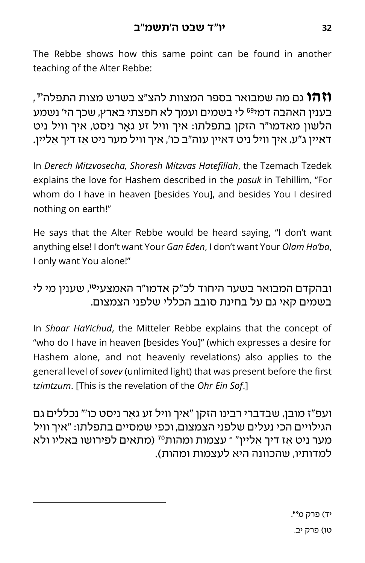The Rebbe shows how this same point can be found in another teaching of the Alter Rebbe:

**וזהו** גם מה שמבואר בספר המצוות להצ"צ בשרש מצות התפלה'<sup>ד</sup>, בענין האהבה דמי<sup>69</sup> לי בשמים ועמך לא חפצתי בארץ, שכך הי' נשמע הלשון מאדמו"ר הזקן בתפלתו: איך וויל זע ג אר ניסט, איך וויל ניט דאיין ג"ע, איך וויל ניט דאיין עוה"ב כו', איך וויל מער ניט ַאז דיך ַאליין.

In *Derech Mitzvosecha, Shoresh Mitzvas Hatefillah*, the Tzemach Tzedek explains the love for Hashem described in the *pasuk* in Tehillim, "For whom do I have in heaven [besides You], and besides You I desired nothing on earth!"

He says that the Alter Rebbe would be heard saying, "I don't want anything else! I don't want Your *Gan Eden*, I don't want Your *Olam Ha'ba*, I only want You alone!"

#### , שענין מי לי **טו** ובהקדם המבואר בשער היחוד לכ"ק אדמו"ר האמצעי בשמים קאי גם על בחינת סובב הכללי שלפני הצמצום.

In *Shaar HaYichud*, the Mitteler Rebbe explains that the concept of "who do I have in heaven [besides You]" (which expresses a desire for Hashem alone, and not heavenly revelations) also applies to the general level of *sovev* (unlimited light) that was present before the first *tzimtzum*. [This is the revelation of the *Ohr Ein Sof*.]

ועפ"ז מובן, שבדברי רבינו הזקן "איך וויל זע ג אר ניסט כו'" נכללים גם הגילויים הכי נעלים שלפני הצמצום, וכפי שמסיים בתפלתו: "איך וויל מער ניט אַז דיך אַליין" ־ עצמות ומהות<sup>70</sup> (מתאים לפירושו באליו ולא למדותיו, שהכוונה היא לעצמות ומהות(.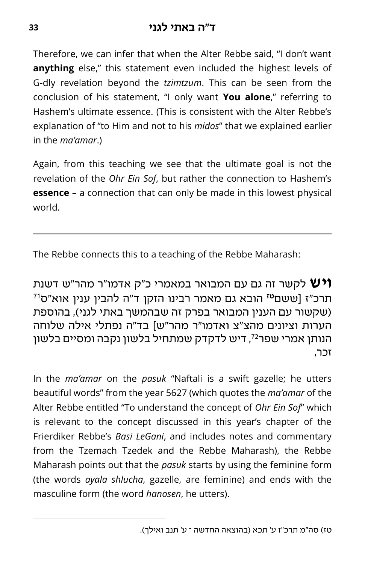Therefore, we can infer that when the Alter Rebbe said, "I don't want **anything** else," this statement even included the highest levels of G-dly revelation beyond the *tzimtzum*. This can be seen from the conclusion of his statement, "I only want **You alone**," referring to Hashem's ultimate essence. (This is consistent with the Alter Rebbe's explanation of "to Him and not to his *midos*" that we explained earlier in the *ma'amar*.)

Again, from this teaching we see that the ultimate goal is not the revelation of the *Ohr Ein Sof*, but rather the connection to Hashem's **essence** – a connection that can only be made in this lowest physical world.

The Rebbe connects this to a teaching of the Rebbe Maharash:

**ויש** לקשר זה גם עם המבואר במאמרי כ"ק אדמו"ר מהר"ש דשנת תרכ"ז [ששם<sup>טז</sup> הובא גם מאמר רבינו הזקן ד"ה להבין ענין אוא"ס<sup>וז</sup> )שקשור עם הענין המבואר בפרק זה שבהמשך באתי לגני(, בהוספת הערות וציונים מהצ"צ ואדמו"ר מהר"ש[ בד"ה נפתלי אילה שלוחה הנותן אמרי שפר<sup>72</sup>, דיש לדקדק שמתחיל בלשון נקבה ומסיים בלשון זכר,

In the *ma'amar* on the *pasuk* "Naftali is a swift gazelle; he utters beautiful words" from the year 5627 (which quotes the *ma'amar* of the Alter Rebbe entitled "To understand the concept of *Ohr Ein Sof*" which is relevant to the concept discussed in this year's chapter of the Frierdiker Rebbe's *Basi LeGani*, and includes notes and commentary from the Tzemach Tzedek and the Rebbe Maharash), the Rebbe Maharash points out that the *pasuk* starts by using the feminine form (the words *ayala shlucha*, gazelle, are feminine) and ends with the masculine form (the word *hanosen*, he utters).

טז) סה"מ תרכ"ז ע' תכא (בהוצאה החדשה ־ ע' תנב ואילך).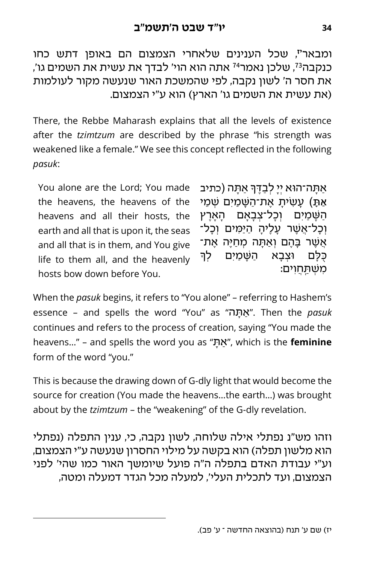, שכל הענינים שלאחרי הצמצום הם באופן דתש כחו **יז** ומבאר , כנקבה<sup>73</sup>, שלכן נאמר<sup>74</sup> אתה הוא הוי' לבדך את עשית את השמים גו' את חסר ה' לשון נקבה, לפי שהמשכת האור שנעשה מקור לעולמות (את עשית את השמים גו' הארץ) הוא ע"י הצמצום.

There, the Rebbe Maharash explains that all the levels of existence after the *tzimtzum* are described by the phrase "his strength was weakened like a female." We see this concept reflected in the following *pasuk*:

You alone are the Lord; You made the heavens, the heavens of the heavens and all their hosts, the earth and all that is upon it, the seas and all that is in them, and You give life to them all, and the heavenly hosts bow down before You.

ּאַתָּה־הוּא יְיָ לְבַדֶּךְּ אַתָּה (כתיב ֧֧֧֧֓<u>֓</u> ֿ אַתָּ) עשית אַת־השַמים שַמִי השמים וכל־צבאם הארץ וכל־אַשר עליה היּמֵים וכל־ ְאֲשֶׁר בָּהֶם וְאֲתָּה מְחַיֶּה אֶת־ כּלם וּצבא השַמִּים ְלך ּמְשָׁתֲחֲוִים:

When the *pasuk* begins, it refers to "You alone" – referring to Hashem's essence – and spells the word "You" as "תהָּ אַ". Then the *pasuk* continues and refers to the process of creation, saying "You made the heavens…" – and spells the word you as "תָּ אַ", which is the **feminine** form of the word "you."

This is because the drawing down of G-dly light that would become the source for creation (You made the heavens…the earth…) was brought about by the *tzimtzum* – the "weakening" of the G-dly revelation.

וזהו מש"נ נפתלי אילה שלוחה, לשון נקבה, כי, ענין התפלה )נפתלי הוא מלשון תפלה) הוא בקשה על מילוי החסרון שנעשה ע"י הצמצום, וע"י עבודת האדם בתפלה ה"ה פועל שיומשך האור כמו שהי' לפני הצמצום, ועד לתכלית העלי', למעלה מכל הגדר דמעלה ומטה,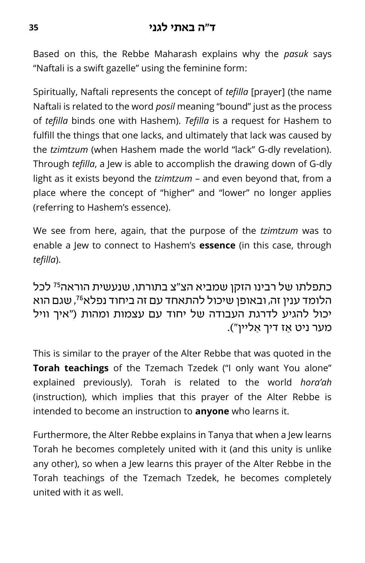#### **ד"ה באתי לגני <sup>35</sup>**

Based on this, the Rebbe Maharash explains why the *pasuk* says "Naftali is a swift gazelle" using the feminine form:

Spiritually, Naftali represents the concept of *tefilla* [prayer] (the name Naftali is related to the word *posil* meaning "bound" just as the process of *tefilla* binds one with Hashem). *Tefilla* is a request for Hashem to fulfill the things that one lacks, and ultimately that lack was caused by the *tzimtzum* (when Hashem made the world "lack" G-dly revelation). Through *tefilla*, a Jew is able to accomplish the drawing down of G-dly light as it exists beyond the *tzimtzum* – and even beyond that, from a place where the concept of "higher" and "lower" no longer applies (referring to Hashem's essence).

We see from here, again, that the purpose of the *tzimtzum* was to enable a Jew to connect to Hashem's **essence** (in this case, through *tefilla*).

#### כתפלתו של רבינו הזקן שמביא הצ"צ בתורתו, שנעשית הוראה<sup>75</sup> לכל , שגם הוא <sup>76</sup> הלומד ענין זה, ובאופן שיכול להתאחד עם זה ביחוד נפלא יכול להגיע לדרגת העבודה של יחוד עם עצמות ומהות )"איך וויל מער ניט אז דיך אליין").

This is similar to the prayer of the Alter Rebbe that was quoted in the **Torah teachings** of the Tzemach Tzedek ("I only want You alone" explained previously). Torah is related to the world *hora'ah* (instruction), which implies that this prayer of the Alter Rebbe is intended to become an instruction to **anyone** who learns it.

Furthermore, the Alter Rebbe explains in Tanya that when a Jew learns Torah he becomes completely united with it (and this unity is unlike any other), so when a Jew learns this prayer of the Alter Rebbe in the Torah teachings of the Tzemach Tzedek, he becomes completely united with it as well.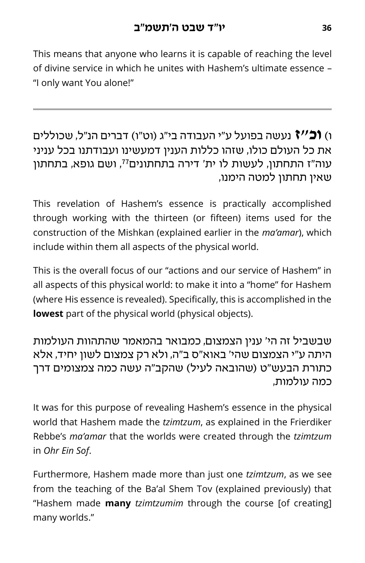This means that anyone who learns it is capable of reaching the level of divine service in which he unites with Hashem's ultimate essence – "I only want You alone!"

ו( **וכ"ז** נעשה בפועל ע"י העבודה בי"ג )וט"ו( דברים הנ"ל, שכוללים את כל העולם כולו, שזהו כללות הענין דמעשינו ועבודתנו בכל עניני עוה"ז התחתון, לעשות לו ית' דירה בתחתונים<sup>77</sup>, ושם גופא, בתחתון שאין תחתון למטה הימנו,

This revelation of Hashem's essence is practically accomplished through working with the thirteen (or fifteen) items used for the construction of the Mishkan (explained earlier in the *ma'amar*), which include within them all aspects of the physical world.

This is the overall focus of our "actions and our service of Hashem" in all aspects of this physical world: to make it into a "home" for Hashem (where His essence is revealed). Specifically, this is accomplished in the **lowest** part of the physical world (physical objects).

שבשביל זה הי' ענין הצמצום, כמבואר בהמאמר שהתהוות העולמות היתה ע"י הצמצום שהי' באוא"ס ב"ה, ולא רק צמצום לשון יחיד, אלא כתורת הבעש"ט (שהובאה לעיל) שהקב"ה עשה כמה צמצומים דרך כמה עולמות,

It was for this purpose of revealing Hashem's essence in the physical world that Hashem made the *tzimtzum*, as explained in the Frierdiker Rebbe's *ma'amar* that the worlds were created through the *tzimtzum*  in *Ohr Ein Sof*.

Furthermore, Hashem made more than just one *tzimtzum*, as we see from the teaching of the Ba'al Shem Tov (explained previously) that "Hashem made **many** *tzimtzumim* through the course [of creating] many worlds."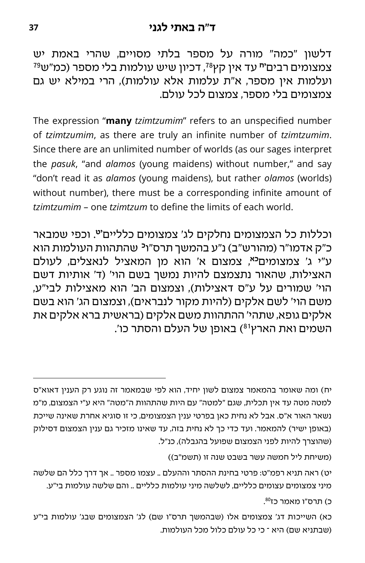דלשון "כמה" מורה על מספר בלתי מסויים, שהרי באמת יש צמצומים רבים"**י** עד אין קץ<sup>78</sup>, דכיון שיש עולמות בלי מספר (כמ"ש<sup>79</sup> ועלמות אין מספר, א"ת עלמות אלא עולמות(, הרי במילא יש גם צמצומים בלי מספר, צמצום לכל עולם.

The expression "**many** *tzimtzumim*" refers to an unspecified number of *tzimtzumim*, as there are truly an infinite number of *tzimtzumim*. Since there are an unlimited number of worlds (as our sages interpret the *pasuk*, "and *alamos* (young maidens) without number," and say "don't read it as *alamos* (young maidens), but rather *olamos* (worlds) without number), there must be a corresponding infinite amount of *tzimtzumim* – one *tzimtzum* to define the limits of each world.

. וכפי שמבאר **יט** וכללות כל הצמצומים נחלקים לג' צמצומים כלליים כ"ק אדמו"ר (מהורש"ב) נ"ע בהמשך תרס"ו<sup>כ</sup> שהתהוות העולמות הוא , צמצום א' הוא מן המאציל לנאצלים, לעולם **כא** ע"י ג' צמצומים האצילות, שהאור נתצמצם להיות נמשך בשם הוי' )ד' אותיות דשם הוי' שמורים על ע"ס דאצילות), וצמצום הב' הוא מאצילות לבי"ע, משם הוי' לשם אלקים (להיות מקור לנבראים), וצמצום הג' הוא בשם אלקים גופא, שתהי' ההתהוות משם אלקים )בראש ית ברא אלקים את השמים ואת הארץ<sup>81</sup>) באופן של העלם והסתר כו'.

יח) ומה שאומר בהמאמר צמצום לשון יחיד, הוא לפי שבמאמר זה נוגע רק הענין דאוא"ס למטה מטה עד אין תכלית, שגם "למטה" עם היות שהתהוות ה"מטה" היא ע"י הצמצום, מ"מ נשאר האור א"ס. אבל לא נחית כאן בפרטי ענין הצמצומים, כי זו סוגיא אחרת שאינה שייכת (באופן ישיר) להמאמר. ועד כדי כך לא נחית בזה, עד שאינו מזכיר גם ענין הצמצום דסילוק (שהוצרך להיות לפני הצמצום שפועל בהגבלה), כנ"ל.

(משיחת ליל חמשה עשר בשבט שנה זו (תשמ"ב))

יט) ראה תניא רפמ"ט: פרטי בחינת ההסתר וההעלם .. עצמו מספר .. אך דרך כלל הם שלשה מיני צמצומים עצומים כלליים, לשלשה מיני עולמות כלליים .. והם שלשה עולמות בי"ע.

כ) תרס"ו מאמר כז<sup>80</sup>.

כא) השייכות דג' צמצומים אלו (שבהמשך תרס"ו שם) לג' הצמצומים שבג' עולמות בי"ע )שבתניא שם( היא – כי כל עולם כלול מכל העולמות.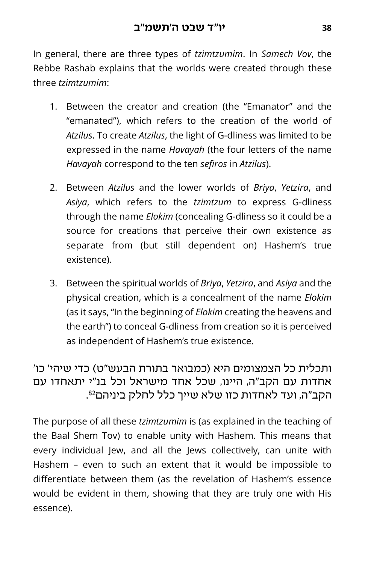In general, there are three types of *tzimtzumim*. In *Samech Vov*, the Rebbe Rashab explains that the worlds were created through these three *tzimtzumim*:

- 1. Between the creator and creation (the "Emanator" and the "emanated"), which refers to the creation of the world of *Atzilus*. To create *Atzilus*, the light of G-dliness was limited to be expressed in the name *Havayah* (the four letters of the name *Havayah* correspond to the ten *sefiros* in *Atzilus*).
- 2. Between *Atzilus* and the lower worlds of *Briya*, *Yetzira*, and *Asiya*, which refers to the *tzimtzum* to express G-dliness through the name *Elokim* (concealing G-dliness so it could be a source for creations that perceive their own existence as separate from (but still dependent on) Hashem's true existence).
- 3. Between the spiritual worlds of *Briya*, *Yetzira*, and *Asiya* and the physical creation, which is a concealment of the name *Elokim* (as it says, "In the beginning of *Elokim* creating the heavens and the earth") to conceal G-dliness from creation so it is perceived as independent of Hashem's true existence.

#### ותכלית כל הצמצומים היא )כמבואר בתורת הבעש"ט( כדי שיהי' כו' אחדות עם הקב"ה, היינו, שכל אחד מישראל וכל בנ"י יתאחדו עם הקב״ה, ועד לאחדות כזו שלא שייך כלל לחלק ביניהם<sup>82</sup>.

The purpose of all these *tzimtzumim* is (as explained in the teaching of the Baal Shem Tov) to enable unity with Hashem. This means that every individual Jew, and all the Jews collectively, can unite with Hashem – even to such an extent that it would be impossible to differentiate between them (as the revelation of Hashem's essence would be evident in them, showing that they are truly one with His essence).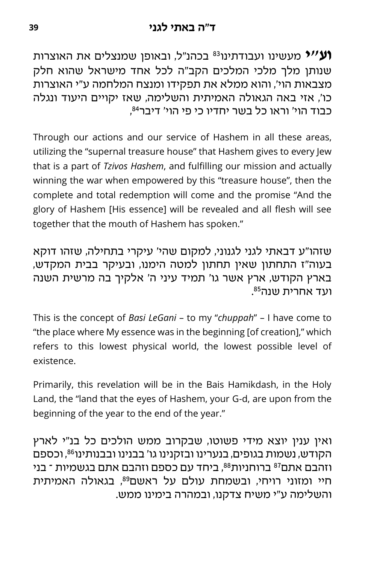בכהנ"ל, ובאופן שמנצלים את האו צרות <sup>83</sup> **וע"י** מעשינו ועבודתינו שנותן מלך מלכי המלכים הקב"ה לכל אחד מישראל שהוא חלק מצבאות הוי', והוא ממלא את תפקידו ומנצח המלחמה ע"י האוצרות כו', אזי באה הגאולה האמיתית והשלימה, שאז יקויים היעוד ונגלה 84 כבוד הוי' וראו כל בשר יחדיו כי פי הוי' דיבר ,

Through our actions and our service of Hashem in all these areas, utilizing the "supernal treasure house" that Hashem gives to every Jew that is a part of *Tzivos Hashem*, and fulfilling our mission and actually winning the war when empowered by this "treasure house", then the complete and total redemption will come and the promise "And the glory of Hashem [His essence] will be revealed and all flesh will see together that the mouth of Hashem has spoken."

שזהו"ע דבאתי לגני לגנוני, למקום שהי' עיקרי בתחילה, שזהו דוקא בעוה"ז התחתון שאין תחתון למטה הימנו, ובעיקר בבית המקדש, בארץ הקודש, ארץ אשר גו' תמיד עיני ה' אלקיך בה מרשית השנה 85ועד אחרית שנה .

This is the concept of *Basi LeGani* – to my "*chuppah*" – I have come to "the place where My essence was in the beginning [of creation]," which refers to this lowest physical world, the lowest possible level of existence.

Primarily, this revelation will be in the Bais Hamikdash, in the Holy Land, the "land that the eyes of Hashem, your G-d, are upon from the beginning of the year to the end of the year."

ואין ענין יוצא מידי פשוטו, שבקרוב ממש הולכים כל בנ"י לארץ הקודש, נשמות בגופים, בנערינו ובזקנינו גו' בבנינו ובבנותינו<sup>86</sup>, וכספם וזהבם אתם<sup>87</sup> ברוחניות<sup>88</sup>, ביחד עם כספם וזהבם אתם בגשמיות ־ בני חיי ומזוני רויחי, ובשמחת עולם על ראשם<sup>89</sup>, בגאולה האמיתית והשלימה ע"י משיח צדקנו, ובמהרה בימינו ממש.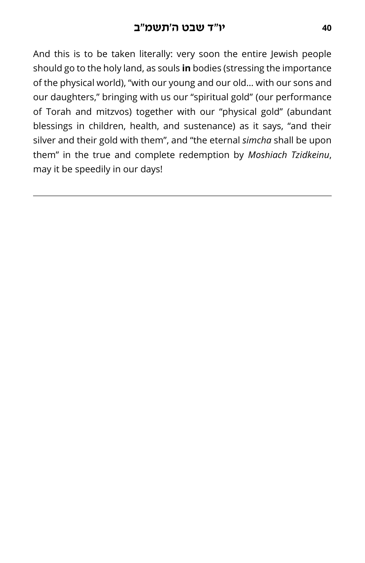And this is to be taken literally: very soon the entire Jewish people should go to the holy land, as souls **in** bodies (stressing the importance of the physical world), "with our young and our old… with our sons and our daughters," bringing with us our "spiritual gold" (our performance of Torah and mitzvos) together with our "physical gold" (abundant blessings in children, health, and sustenance) as it says, "and their silver and their gold with them", and "the eternal *simcha* shall be upon them" in the true and complete redemption by *Moshiach Tzidkeinu*, may it be speedily in our days!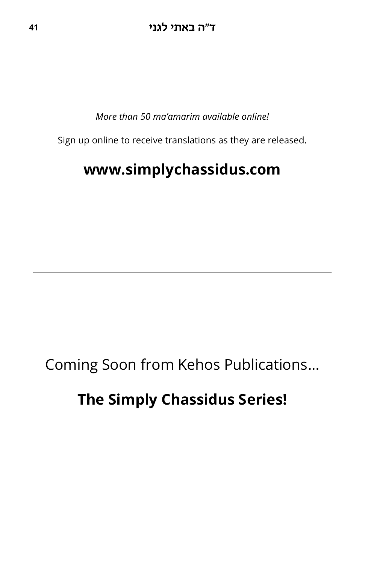*More than 50 ma'amarim available online!*

Sign up online to receive translations as they are released.

# **www.simplychassidus.com**

Coming Soon from Kehos Publications…

# **The Simply Chassidus Series!**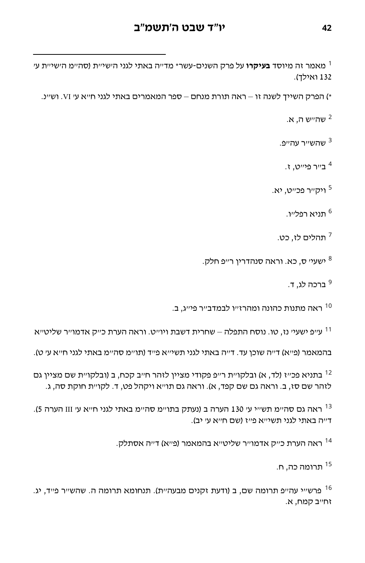#### **<sup>42</sup> יו "ד שבט ה'תשמ"ב**

1 מאמר זה מיוסד **בעיקרו** על פרק השנים-עשר\* מד"ה באתי לגני ה'שי"ת )סה"מ ה'שי"ת ע' 132 ואילד).

\*( הפרק השייך לשנה זו – ראה תורת מנחם – ספר המאמרים באתי לגני ח"א ע' VI. וש"נ.

. שה״ש ה' א'

שהש״ר עה״פ. <sup>3</sup>

1 ב״ר פי״ט, ז.

5 ויק"ר פכ"ט, יא.

6 תניא רפל"ו.

7 תהלים לז, כט.

ישעי<sup>,</sup> ס, כא. וראה סנהדרין ר׳׳פ חלק. <sup>8</sup>

9 ברכה לג, ד.

<sup>10</sup> ראה מתנות כהונה ומהרז״ו לבמדב״ר פי״ג, ב.

עייפ ישעיי נז, טו. נוסח התפלה – שחרית דשבת ויוייט. וראה הערת כייק אדמוייר שליטייא  $^{\rm 11}$ 

בהמאמר (פייא) דייה שוכן עד. דייה באתי לגני תשיייא פייד (תויימ סהיימ באתי לגני חייא עי ט).

בתניא פכ"ז (לד, א) ובלקו"ת ר"פ פקודי מציין לזהר ח"ב קכח, ב (ובלקו"ת שם מציין גם לזהר שם סז, ב. וראה גם שם קפד, א). וראה גם תו״א ויקהל פט, ד. לקו״ת חוקת סה, ג.

ראה גם סה"מ תש"י עי 130 הערה ב (נעתק בתו"מ סה"מ באתי לגני ח"א עי III הערה 5). דייה באתי לגני תשיייא פייז (שם חייא עי יב).

ראה הערת כ"ק אדמו"ר שליט"א בהמאמר (פ"א) ד"ה אסתלק.  $^{\rm 14}$ 

תרומה כה, ח. <sup>15</sup>

ו פרש"י עה"פ תרומה שם, ב (ודעת זקנים מבעה"ת). תנחומא תרומה ה. שהש"ר פ"ד, יג. 16 זח"ב קמח, א.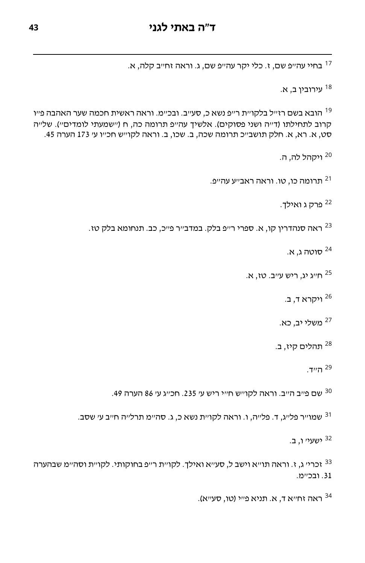בחיי עה"פ שם, ז. כלי יקר עה"פ שם, ג. וראה זח"ב קלה, א. 17

עירובין ב, א. <sup>18</sup>

הובא בשם רז"ל בלקו"ת ר"פ נשא כ, סע"ב. ובכ"מ. וראה ראשית חכמה שער האהבה פ"ו 19 קרוב לתחילתו (ד״ה ושני פסוקים). אלשיך עה״פ תרומה כה, ח ("שמעתי לומדים"). של״ה סט, א. רא, א. חלק תושב"כ תרומה שכה, ב. שכו, ב. וראה לקו"ש חכ"ו ע' 173 הערה .45

<sup>20</sup> ויקהל לה. ה.

.<sup>21</sup> תרומה כו. טו. וראה ראב״ע עה״פ

22 פרק ג ואילך.

ראה סנהדרין קו, א. ספרי ר"פ בלק. במדב"ר פ"כ, כב. תנחומא בלק טז.

סוטה ג, א. <sup>24</sup>

חייג יג. ריש עייב. טז, א.

ויקרא ד, ב. <sup>26</sup>

משלי יב, כא. <sup>27</sup>

תהלים קיז, ב. <sup>28</sup>

<sup>29</sup> ה"ד.

<sup>30</sup> שם פייב הייב. וראה לקוייש חייי ריש עי 235. חכייג עי 86 הערה 49.

שמו"ר פל"ג, ד. פל"ה, ו. וראה לקו"ת נשא כ, ג. סה"מ תרל"ה ח"ב ע' שסב.

<sup>32</sup> ישעי' ו, ב.

זכרי' ג, ז. וראה תו"א וישב ל, סע"א ואילך. לקו"ת ר"פ בחוקותי. לקו"ת וסה"מ שבהערה [.31](#page-11-0) ובכ"מ.

, ראה זחייא ד, א. תניא פייי (טו, סעייא).  $^{\rm 34}$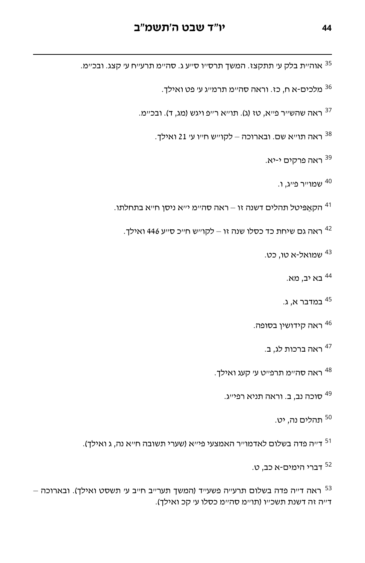אוהיית בלק עי תתקצז. המשד תרסייו סייע ג. סהיימ תרעייח עי קצג. ובכיימ.  $^{\rm 35}$ 

<sup>36</sup> מלכים-א ח, כז. וראה סה"מ תרמ"ג ע' פט ואילך.

ראה שהשייר פייא, טז (ג). תוייא רייפ ויגש (מג, ד). ובכיימ. 37

ראה תו"א שם. ובארוכה – לקו"ש ח"ו ע' 21 ואילך.

ראה פרקים י-יא. <sup>39</sup>

<sup>40</sup> שמו״ר פ״ג, ו.

. <sup>41</sup> הקאַפּיטל תהלים דשנה זו – ראה סה״מ י״א ניסן ח״א בתחלתו

ראה גם שיחת כד כסלו שנה זו – לקו"ש ח"כ ס"ע 446 ואילך.

שמואל-א טו, כט. <sup>43</sup>

בא יב, מא. <sup>44</sup>

<sup>45</sup> במדבר א, ג.

ראה קידושין בסופה. <sup>46</sup>

ראה ברכות לג, ב. <sup>47</sup>

ראה סה״מ תרפ״ט ע׳ קעג ואילך.

סוכה נב, ב. וראה תניא רפי"ג. <sup>49</sup>

תהלים נה, יט. <sup>50</sup>

. <sup>51</sup> ד״ה פדה בשלום לאדמו״ר האמצעי פי"א (שערי תשובה ח״א נה, ג ואילך)

דברי הימים-א כב, ט. <sup>52</sup>

 $-$  ראה דייה פדה בשלום תרעייה פשעייד (המשך תערייב חייב עי תשסט ואילך). ובארוכה דייה זה דשנת תשכייו (תו"מ סה"מ כסלו ע' קכ ואילך).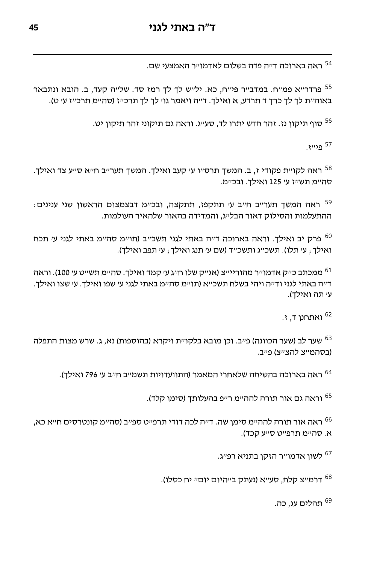.<sup>54</sup> ראה בארוכה ד״ה פדה בשלום לאדמו״ר האמצעי שם

<sup>55</sup> פרדר"א פמ"ח. במדב"ר פי"ח, כא. יל"ש לך לך רמז סד. של"ה קעד, ב. הובא ונתבאר באוה״ת לד לך כרך ד תרדע. א ואילד. ד״ה ויאמר גו׳ לד לד תרכ״ז (סה״מ תרכ״ז ע׳ ט).

<sup>56</sup> סוף תיקון נז. זהר חדש יתרו לד, סע״ג. וראה גם תיקוני זהר תיקון יט.

<sup>57</sup> פ*ייי*ז.

ראה לקו"ת פקודי ז, ב. המשך תרס"ו ע' קעב ואילך. המשך תער"ב ח"א ס"ע צד ואילך.  $^{58}$ סה"מ תש"ז ע' 125 ואילך. ובכ"מ.

: ראה המשך תער"ב ח"ב ע' תתקפז, תתקצה, ובכ"מ דבצמצום הראשון שני ענינים ההתעלמות והסילוק דאור הבל"ג, והמדידה בהאור שלהאיר העולמות.

פרק יב ואילך. וראה בארוכה ד״ה באתי לגני תשכ״ב (תו״מ סה״מ באתי לגני ע׳ תכח 60 ואילך; ע' תלו). תשכ"ג ותשכ"ד (שם ע' תנג ואילך; ע' תפב ואילך).

<sup>61</sup> ממכתב כ״ק אדמו״ר מהוריי״צ (אג״ק שלו ח״ג ע׳ קמד ואילך. סה״מ תש״ט ע׳ 100). וראה ד"ה באתי לגני וד"ה ויהי בשלח תשכ"א (תו"מ סה"מ באתי לגני ע' שפו ואילך. ע' שצו ואילך. עי תה ואילד).

ואתחנן ד, ז. <sup>62</sup>

שער לב (שער הכוונה) פ״ב. וכן מובא בלקו״ת ויקרא (בהוספות) נא, ג. שרש מצות התפלה 63 (בסהמייצ להצייצ) פייב.

ראה בארוכה בהשיחה שלאחרי המאמר (התוועדויות תשמ״ב ח״ב ע׳ 796 ואילך).

<sup>65</sup> וראה גם אור תורה להה״מ ר״פ בהעלותד (סימו קלד).

 ראה אור תורה להה"מ סימן שה. ד"ה לכה דודי תרפ"ט ספ"ב )סה"מ קונטרסים ח"א כא, <sup>66</sup> א. סהיימ תרפייט סייע קכד).

לשון אדמו"ר הזקן בתניא רפ"ג. <sup>67</sup>

<sup>68</sup> דרמייצ קלח, סעייא (נעתק בייהיום יוםיי יח כסלו).

תהלים עג, כה. <sup>69</sup>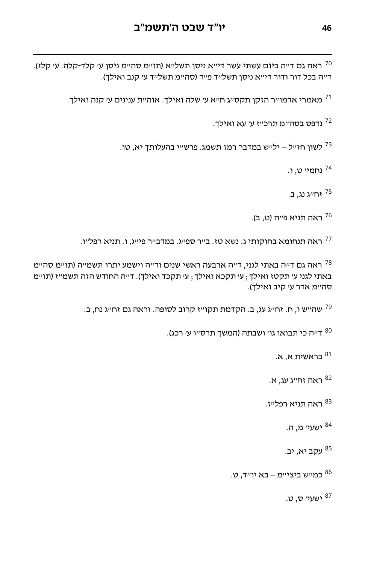ראה גם ד״ה ביום עשתי עשר די״א ניסן תשל״א (תו״מ סה״מ ניסן ע׳ קלד-קלה. ע׳ קלז). דייה בכל דור ודור דיייא ניסן תשלייד פייד (סהיימ תשלייד עי קנב ואילד).

. מאמרי אדמו"ר הזקן תקס"ג ח"א ע' שלה ואילך. אוה"ת ענינים ע' קנה ואילך

נדפס בסה"מ תרכ"ז ע' עא ואילך.

. לשון חז"ל – יל"ש במדבר רמז תשמג. פרש"י בהעלותך יא, טו

נחמי' ט, ו. <sup>74</sup>

יח"ג נג, ב.<br><sup>75</sup> זח"ג נג, ב.

ראה תניא פייה (ט, ב).<br>

ראה תנחומא בחוקותי ג. נשא טז. ב״ר ספ״ג. במדב״ר פי״ג, ו. תניא רפל״ו.

ראה גם ד״ה באתי לגני, ד״ה ארבעה ראשי שנים וד״ה וישמע יתרו תשמ״ה (תו״מ סה״מ  $^{\rm 78}$ באתי לגני ע׳ תקטז ואילך ; ע׳ תקכא ואילך ; ע׳ תקכד ואילך). ד׳׳ה החודש הזה תשמ״ז (תו״מ סה״מ אדר ע׳ קיב ואילד).

שה"ש ו, ח. זח"ג עג, ב. הקדמת תקו"ז קרוב לסופה. וראה גם זח"ג נח, ב. 79

. <sup>80</sup> דייה כי תבואו גו' ושבתה (המשך תרס"ו ע' רכג)

בראשית א, א. <sup>81</sup>

ראה זח״ג עג. א. <sup>82</sup>

. ראה תניא רפל״ז

ישעי' מ, ה. <sup>84</sup>

עקב יא, יב. <sup>85</sup>

כמייש ביצייימ – בא יו״ד, ט.  $^{\rm 86}$ 

ישעי<sup>,</sup> ס. ט.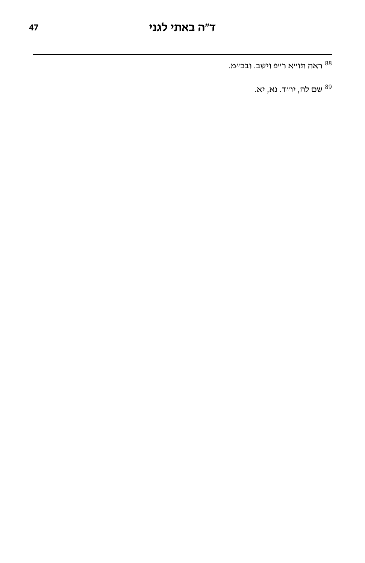ראה תו"א ר"פ וישב. ובכ"מ.

שם לה, יו"ד. נא, יא. <sup>89</sup>